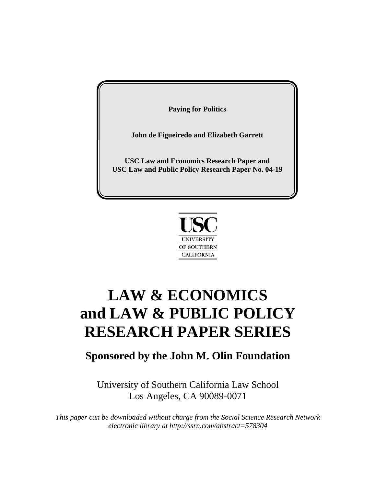**John de Figueiredo and Elizabeth Garrett**

**USC Law and Economics Research Paper and USC Law and Public Policy Research Paper No. 04-19**



# **LAW & ECONOMICS and LAW & PUBLIC POLICY RESEARCH PAPER SERIES**

# **Sponsored by the John M. Olin Foundation**

University of Southern California Law School Los Angeles, CA 90089-0071

*This paper can be downloaded without charge from the Social Science Research Network electronic library at http://ssrn.com/abstract=578304*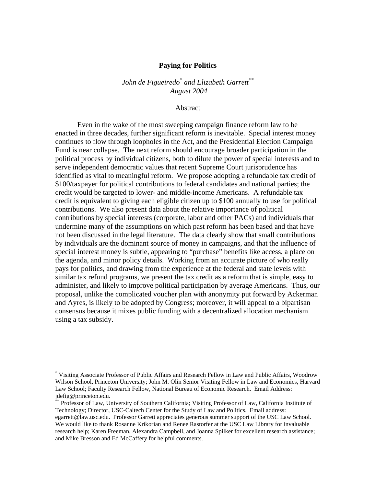*John de Figueiredo\* and Elizabeth Garrett\*\* August 2004* 

Abstract

 Even in the wake of the most sweeping campaign finance reform law to be enacted in three decades, further significant reform is inevitable. Special interest money continues to flow through loopholes in the Act, and the Presidential Election Campaign Fund is near collapse. The next reform should encourage broader participation in the political process by individual citizens, both to dilute the power of special interests and to serve independent democratic values that recent Supreme Court jurisprudence has identified as vital to meaningful reform. We propose adopting a refundable tax credit of \$100/taxpayer for political contributions to federal candidates and national parties; the credit would be targeted to lower- and middle-income Americans. A refundable tax credit is equivalent to giving each eligible citizen up to \$100 annually to use for political contributions. We also present data about the relative importance of political contributions by special interests (corporate, labor and other PACs) and individuals that undermine many of the assumptions on which past reform has been based and that have not been discussed in the legal literature. The data clearly show that small contributions by individuals are the dominant source of money in campaigns, and that the influence of special interest money is subtle, appearing to "purchase" benefits like access, a place on the agenda, and minor policy details. Working from an accurate picture of who really pays for politics, and drawing from the experience at the federal and state levels with similar tax refund programs, we present the tax credit as a reform that is simple, easy to administer, and likely to improve political participation by average Americans. Thus, our proposal, unlike the complicated voucher plan with anonymity put forward by Ackerman and Ayres, is likely to be adopted by Congress; moreover, it will appeal to a bipartisan consensus because it mixes public funding with a decentralized allocation mechanism using a tax subsidy.

<sup>\*</sup> Visiting Associate Professor of Public Affairs and Research Fellow in Law and Public Affairs, Woodrow Wilson School, Princeton University; John M. Olin Senior Visiting Fellow in Law and Economics, Harvard Law School; Faculty Research Fellow, National Bureau of Economic Research. Email Address: jdefig@princeton.edu.

<sup>\*\*</sup> Professor of Law, University of Southern California; Visiting Professor of Law, California Institute of Technology; Director, USC-Caltech Center for the Study of Law and Politics. Email address: egarrett@law.usc.edu. Professor Garrett appreciates generous summer support of the USC Law School. We would like to thank Rosanne Krikorian and Renee Rastorfer at the USC Law Library for invaluable research help; Karen Freeman, Alexandra Campbell, and Joanna Spilker for excellent research assistance; and Mike Bresson and Ed McCaffery for helpful comments.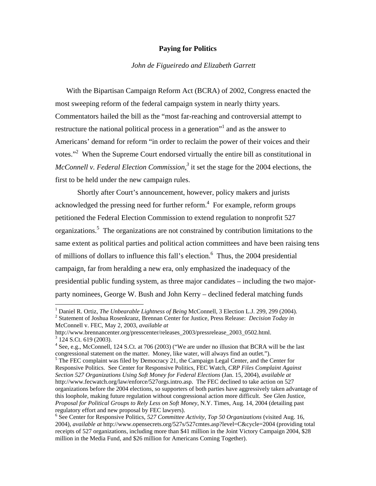# *John de Figueiredo and Elizabeth Garrett*

With the Bipartisan Campaign Reform Act (BCRA) of 2002, Congress enacted the most sweeping reform of the federal campaign system in nearly thirty years. Commentators hailed the bill as the "most far-reaching and controversial attempt to restructure the national political process in a generation"<sup>1</sup> and as the answer to Americans' demand for reform "in order to reclaim the power of their voices and their votes."<sup>2</sup> When the Supreme Court endorsed virtually the entire bill as constitutional in *McConnell v. Federal Election Commission*,<sup>3</sup> it set the stage for the 2004 elections, the first to be held under the new campaign rules.

Shortly after Court's announcement, however, policy makers and jurists acknowledged the pressing need for further reform.<sup>4</sup> For example, reform groups petitioned the Federal Election Commission to extend regulation to nonprofit 527 organizations.<sup>5</sup> The organizations are not constrained by contribution limitations to the same extent as political parties and political action committees and have been raising tens of millions of dollars to influence this fall's election.<sup>6</sup> Thus, the 2004 presidential campaign, far from heralding a new era, only emphasized the inadequacy of the presidential public funding system, as three major candidates – including the two majorparty nominees, George W. Bush and John Kerry – declined federal matching funds

 Statement of Joshua Rosenkranz, Brennan Center for Justice, Press Release: *Decision Today in*  McConnell v. FEC, May 2, 2003, *available at*

<sup>&</sup>lt;sup>1</sup> Daniel R. Ortiz, *The Unbearable Lightness of Being* McConnell, 3 Election L.J. 299, 299 (2004).

http://www.brennancenter.org/presscenter/releases 2003/pressrelease 2003 0502.html.  $3\overline{12}4$  S.Ct. 619 (2003).

<sup>&</sup>lt;sup>4</sup> See, e.g., McConnell, 124 S.Ct. at 706 (2003) ("We are under no illusion that BCRA will be the last congressional statement on the matter. Money, like water, will always find an outlet.").

<sup>&</sup>lt;sup>5</sup> The FEC complaint was filed by Democracy 21, the Campaign Legal Center, and the Center for Responsive Politics. See Center for Responsive Politics, FEC Watch, *CRP Files Complaint Against Section 527 Organizations Using Soft Money for Federal Elections* (Jan. 15, 2004), *available at*  http://www.fecwatch.org/law/enforce/527orgs.intro.asp. The FEC declined to take action on 527 organizations before the 2004 elections, so supporters of both parties have aggressively taken advantage of this loophole, making future regulation without congressional action more difficult. See Glen Justice, *Proposal for Political Groups to Rely Less on Soft Money,* N.Y. Times, Aug. 14, 2004 (detailing past regulatory effort and new proposal by FEC lawyers).

<sup>&</sup>lt;sup>6</sup> See Center for Responsive Politics, 527 Committee Activity, Top 50 Organizations (visited Aug. 16, 2004), *available at* http://www.opensecrets.org/527s/527cmtes.asp?level=C&cycle=2004 (providing total receipts of 527 organizations, including more than \$41 million in the Joint Victory Campaign 2004, \$28 million in the Media Fund, and \$26 million for Americans Coming Together).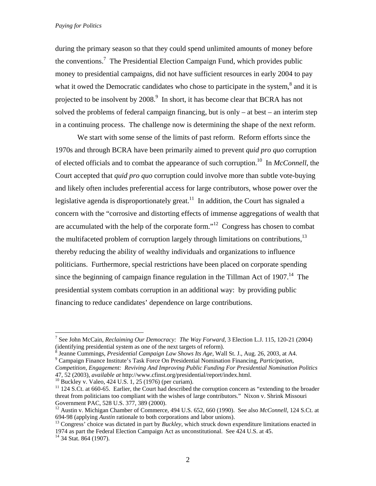during the primary season so that they could spend unlimited amounts of money before the conventions.<sup>7</sup> The Presidential Election Campaign Fund, which provides public money to presidential campaigns, did not have sufficient resources in early 2004 to pay what it owed the Democratic candidates who chose to participate in the system, $^8$  and it is projected to be insolvent by 2008.<sup>9</sup> In short, it has become clear that BCRA has not solved the problems of federal campaign financing, but is only – at best – an interim step in a continuing process. The challenge now is determining the shape of the next reform.

We start with some sense of the limits of past reform. Reform efforts since the 1970s and through BCRA have been primarily aimed to prevent *quid pro quo* corruption of elected officials and to combat the appearance of such corruption.10 In *McConnell*, the Court accepted that *quid pro quo* corruption could involve more than subtle vote-buying and likely often includes preferential access for large contributors, whose power over the legislative agenda is disproportionately great.<sup>11</sup> In addition, the Court has signaled a concern with the "corrosive and distorting effects of immense aggregations of wealth that are accumulated with the help of the corporate form."12 Congress has chosen to combat the multifaceted problem of corruption largely through limitations on contributions,  $13$ thereby reducing the ability of wealthy individuals and organizations to influence politicians. Furthermore, special restrictions have been placed on corporate spending since the beginning of campaign finance regulation in the Tillman Act of  $1907<sup>14</sup>$ . The presidential system combats corruption in an additional way: by providing public financing to reduce candidates' dependence on large contributions.

Campaign Finance Institute's Task Force On Presidential Nomination Financing, *Participation,* 

<sup>7</sup> See John McCain, *Reclaiming Our Democracy: The Way Forward*, 3 Election L.J. 115, 120-21 (2004) (identifying presidential system as one of the next targets of reform).<br><sup>8</sup> Jeanne Cummings, *Presidential Campaign Law Shows Its Ass* Well

Jeanne Cummings, *Presidential Campaign Law Shows Its Age*, Wall St. J., Aug. 26, 2003, at A4. 9

*Competition, Engagement: Reviving And Improving Public Funding For Presidential Nomination Politics*  47, 52 (2003), *available at* http://www.cfinst.org/presidential/report/index.html. 10 Buckley v. Valeo, 424 U.S. 1, 25 (1976) (per curiam).

<sup>&</sup>lt;sup>11</sup> 124 S.Ct. at 660-65. Earlier, the Court had described the corruption concern as "extending to the broader threat from politicians too compliant with the wishes of large contributors." Nixon v. Shrink Missouri Government PAC, 528 U.S. 377, 389 (2000).

<sup>&</sup>lt;sup>12</sup> Austin v. Michigan Chamber of Commerce, 494 U.S. 652, 660 (1990). See also *McConnell*, 124 S.Ct. at 694-98 (applying *Austin* rationale to both corporations and labor unions). 13 Congress' choice was dictated in part by *Buckley*, which struck down expenditure limitations enacted in

<sup>1974</sup> as part the Federal Election Campaign Act as unconstitutional. See 424 U.S. at 45.

 $14$  34 Stat. 864 (1907).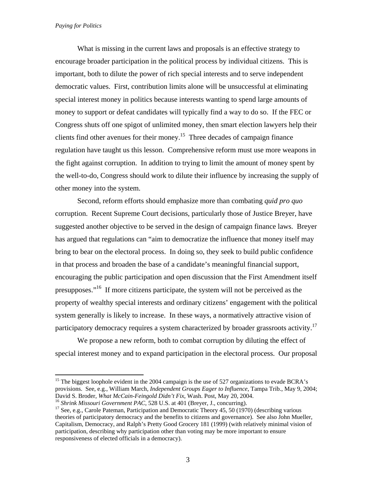1

What is missing in the current laws and proposals is an effective strategy to encourage broader participation in the political process by individual citizens. This is important, both to dilute the power of rich special interests and to serve independent democratic values. First, contribution limits alone will be unsuccessful at eliminating special interest money in politics because interests wanting to spend large amounts of money to support or defeat candidates will typically find a way to do so. If the FEC or Congress shuts off one spigot of unlimited money, then smart election lawyers help their clients find other avenues for their money.15 Three decades of campaign finance regulation have taught us this lesson. Comprehensive reform must use more weapons in the fight against corruption. In addition to trying to limit the amount of money spent by the well-to-do, Congress should work to dilute their influence by increasing the supply of other money into the system.

Second, reform efforts should emphasize more than combating *quid pro quo* corruption. Recent Supreme Court decisions, particularly those of Justice Breyer, have suggested another objective to be served in the design of campaign finance laws. Breyer has argued that regulations can "aim to democratize the influence that money itself may bring to bear on the electoral process. In doing so, they seek to build public confidence in that process and broaden the base of a candidate's meaningful financial support, encouraging the public participation and open discussion that the First Amendment itself presupposes."<sup>16</sup> If more citizens participate, the system will not be perceived as the property of wealthy special interests and ordinary citizens' engagement with the political system generally is likely to increase. In these ways, a normatively attractive vision of participatory democracy requires a system characterized by broader grassroots activity.<sup>17</sup>

We propose a new reform, both to combat corruption by diluting the effect of special interest money and to expand participation in the electoral process. Our proposal

<sup>15</sup> The biggest loophole evident in the 2004 campaign is the use of 527 organizations to evade BCRA's provisions. See, e.g., William March, *Independent Groups Eager to Influence*, Tampa Trib., May 9, 2004; David S. Broder, What McCain-Feingold Didn't Fix, Wash. Post, May 20, 2004.<br><sup>16</sup> Shrink Missouri Government PAC, 528 U.S. at 401 (Breyer, J., concurring).<br><sup>17</sup> See, e.g., Carole Pateman, Participation and Democratic Theory

theories of participatory democracy and the benefits to citizens and governance). See also John Mueller, Capitalism, Democracy, and Ralph's Pretty Good Grocery 181 (1999) (with relatively minimal vision of participation, describing why participation other than voting may be more important to ensure responsiveness of elected officials in a democracy).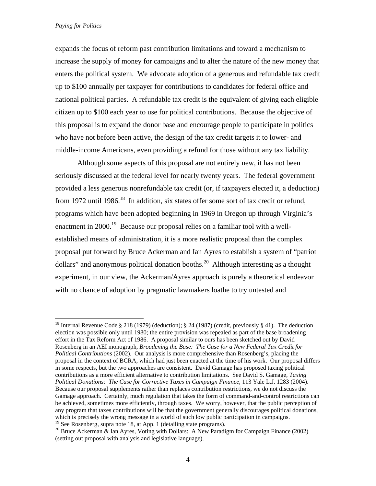1

expands the focus of reform past contribution limitations and toward a mechanism to increase the supply of money for campaigns and to alter the nature of the new money that enters the political system. We advocate adoption of a generous and refundable tax credit up to \$100 annually per taxpayer for contributions to candidates for federal office and national political parties. A refundable tax credit is the equivalent of giving each eligible citizen up to \$100 each year to use for political contributions. Because the objective of this proposal is to expand the donor base and encourage people to participate in politics who have not before been active, the design of the tax credit targets it to lower- and middle-income Americans, even providing a refund for those without any tax liability.

Although some aspects of this proposal are not entirely new, it has not been seriously discussed at the federal level for nearly twenty years. The federal government provided a less generous nonrefundable tax credit (or, if taxpayers elected it, a deduction) from 1972 until 1986.<sup>18</sup> In addition, six states offer some sort of tax credit or refund, programs which have been adopted beginning in 1969 in Oregon up through Virginia's enactment in 2000.<sup>19</sup> Because our proposal relies on a familiar tool with a wellestablished means of administration, it is a more realistic proposal than the complex proposal put forward by Bruce Ackerman and Ian Ayres to establish a system of "patriot dollars" and anonymous political donation booths.<sup>20</sup> Although interesting as a thought experiment, in our view, the Ackerman/Ayres approach is purely a theoretical endeavor with no chance of adoption by pragmatic lawmakers loathe to try untested and

<sup>&</sup>lt;sup>18</sup> Internal Revenue Code § 218 (1979) (deduction); § 24 (1987) (credit, previously § 41). The deduction election was possible only until 1980; the entire provision was repealed as part of the base broadening effort in the Tax Reform Act of 1986. A proposal similar to ours has been sketched out by David Rosenberg in an AEI monograph, *Broadening the Base: The Case for a New Federal Tax Credit for Political Contributions* (2002). Our analysis is more comprehensive than Rosenberg's, placing the proposal in the context of BCRA, which had just been enacted at the time of his work. Our proposal differs in some respects, but the two approaches are consistent. David Gamage has proposed taxing political contributions as a more efficient alternative to contribution limitations. See David S. Gamage, *Taxing Political Donations: The Case for Corrective Taxes in Campaign Finance*, 113 Yale L.J. 1283 (2004). Because our proposal supplements rather than replaces contribution restrictions, we do not discuss the Gamage approach. Certainly, much regulation that takes the form of command-and-control restrictions can be achieved, sometimes more efficiently, through taxes. We worry, however, that the public perception of any program that taxes contributions will be that the government generally discourages political donations, which is precisely the wrong message in a world of such low public participation in campaigns.<br><sup>19</sup> See Rosenberg, supra note 18, at App. 1 (detailing state programs).

<sup>&</sup>lt;sup>20</sup> Bruce Ackerman & Ian Ayres, Voting with Dollars: A New Paradigm for Campaign Finance (2002) (setting out proposal with analysis and legislative language).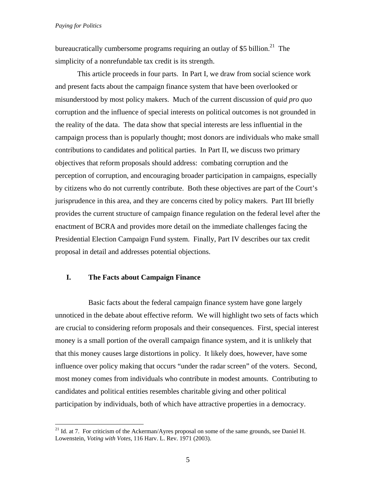$\overline{a}$ 

bureaucratically cumbersome programs requiring an outlay of \$5 billion.<sup>21</sup> The simplicity of a nonrefundable tax credit is its strength.

This article proceeds in four parts. In Part I, we draw from social science work and present facts about the campaign finance system that have been overlooked or misunderstood by most policy makers. Much of the current discussion of *quid pro quo*  corruption and the influence of special interests on political outcomes is not grounded in the reality of the data. The data show that special interests are less influential in the campaign process than is popularly thought; most donors are individuals who make small contributions to candidates and political parties. In Part II, we discuss two primary objectives that reform proposals should address: combating corruption and the perception of corruption, and encouraging broader participation in campaigns, especially by citizens who do not currently contribute. Both these objectives are part of the Court's jurisprudence in this area, and they are concerns cited by policy makers. Part III briefly provides the current structure of campaign finance regulation on the federal level after the enactment of BCRA and provides more detail on the immediate challenges facing the Presidential Election Campaign Fund system. Finally, Part IV describes our tax credit proposal in detail and addresses potential objections.

# **I. The Facts about Campaign Finance**

Basic facts about the federal campaign finance system have gone largely unnoticed in the debate about effective reform. We will highlight two sets of facts which are crucial to considering reform proposals and their consequences. First, special interest money is a small portion of the overall campaign finance system, and it is unlikely that that this money causes large distortions in policy. It likely does, however, have some influence over policy making that occurs "under the radar screen" of the voters. Second, most money comes from individuals who contribute in modest amounts. Contributing to candidates and political entities resembles charitable giving and other political participation by individuals, both of which have attractive properties in a democracy.

<sup>&</sup>lt;sup>21</sup> Id. at 7. For criticism of the Ackerman/Ayres proposal on some of the same grounds, see Daniel H. Lowenstein, *Voting with Votes*, 116 Harv. L. Rev. 1971 (2003).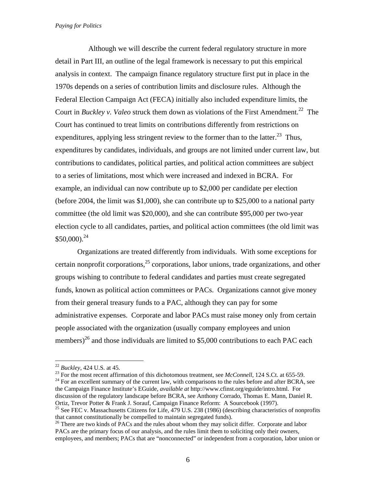Although we will describe the current federal regulatory structure in more detail in Part III, an outline of the legal framework is necessary to put this empirical analysis in context. The campaign finance regulatory structure first put in place in the 1970s depends on a series of contribution limits and disclosure rules. Although the Federal Election Campaign Act (FECA) initially also included expenditure limits, the Court in *Buckley v. Valeo* struck them down as violations of the First Amendment.<sup>22</sup> The Court has continued to treat limits on contributions differently from restrictions on expenditures, applying less stringent review to the former than to the latter.<sup>23</sup> Thus, expenditures by candidates, individuals, and groups are not limited under current law, but contributions to candidates, political parties, and political action committees are subject to a series of limitations, most which were increased and indexed in BCRA. For example, an individual can now contribute up to \$2,000 per candidate per election (before 2004, the limit was \$1,000), she can contribute up to \$25,000 to a national party committee (the old limit was \$20,000), and she can contribute \$95,000 per two-year election cycle to all candidates, parties, and political action committees (the old limit was  $$50,000$ .<sup>24</sup>

 Organizations are treated differently from individuals. With some exceptions for certain nonprofit corporations, $25$  corporations, labor unions, trade organizations, and other groups wishing to contribute to federal candidates and parties must create segregated funds, known as political action committees or PACs. Organizations cannot give money from their general treasury funds to a PAC, although they can pay for some administrative expenses. Corporate and labor PACs must raise money only from certain people associated with the organization (usually company employees and union members)<sup>26</sup> and those individuals are limited to \$5,000 contributions to each PAC each

1

<sup>&</sup>lt;sup>22</sup> Buckley, 424 U.S. at 45.<br><sup>23</sup> For the most recent affirmation of this dichotomous treatment, see *McConnell*, 124 S.Ct. at 655-59.<br><sup>24</sup> For an excellent summary of the current law, with comparisons to the rules befor the Campaign Finance Institute's EGuide, *available at* http://www.cfinst.org/eguide/intro.html. For discussion of the regulatory landscape before BCRA, see Anthony Corrado, Thomas E. Mann, Daniel R. Ortiz, Trevor Potter & Frank J. Sorauf, Campaign Finance Reform: A Sourcebook (1997).

<sup>&</sup>lt;sup>25</sup> See FEC v. Massachusetts Citizens for Life, 479 U.S. 238 (1986) (describing characteristics of nonprofits that cannot constitutionally be compelled to maintain segregated funds).

<sup>&</sup>lt;sup>26</sup> There are two kinds of PACs and the rules about whom they may solicit differ. Corporate and labor PACs are the primary focus of our analysis, and the rules limit them to soliciting only their owners, employees, and members; PACs that are "nonconnected" or independent from a corporation, labor union or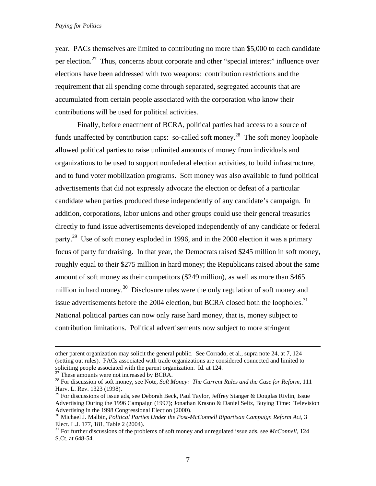year. PACs themselves are limited to contributing no more than \$5,000 to each candidate per election.<sup>27</sup> Thus, concerns about corporate and other "special interest" influence over elections have been addressed with two weapons: contribution restrictions and the requirement that all spending come through separated, segregated accounts that are accumulated from certain people associated with the corporation who know their contributions will be used for political activities.

 Finally, before enactment of BCRA, political parties had access to a source of funds unaffected by contribution caps: so-called soft money.<sup>28</sup> The soft money loophole allowed political parties to raise unlimited amounts of money from individuals and organizations to be used to support nonfederal election activities, to build infrastructure, and to fund voter mobilization programs. Soft money was also available to fund political advertisements that did not expressly advocate the election or defeat of a particular candidate when parties produced these independently of any candidate's campaign. In addition, corporations, labor unions and other groups could use their general treasuries directly to fund issue advertisements developed independently of any candidate or federal party.<sup>29</sup> Use of soft money exploded in 1996, and in the 2000 election it was a primary focus of party fundraising. In that year, the Democrats raised \$245 million in soft money, roughly equal to their \$275 million in hard money; the Republicans raised about the same amount of soft money as their competitors (\$249 million), as well as more than \$465 million in hard money.<sup>30</sup> Disclosure rules were the only regulation of soft money and issue advertisements before the 2004 election, but BCRA closed both the loopholes.<sup>31</sup> National political parties can now only raise hard money, that is, money subject to contribution limitations. Political advertisements now subject to more stringent

other parent organization may solicit the general public. See Corrado, et al., supra note 24, at 7, 124 (setting out rules). PACs associated with trade organizations are considered connected and limited to soliciting people associated with the parent organization. Id. at 124. <sup>27</sup> These amounts were not increased by BCRA.

<sup>28</sup> For discussion of soft money, see Note, *Soft Money: The Current Rules and the Case for Reform*, 111 Harv. L. Rev. 1323 (1998).

<sup>&</sup>lt;sup>29</sup> For discussions of issue ads, see Deborah Beck, Paul Taylor, Jeffrey Stanger & Douglas Rivlin, Issue Advertising During the 1996 Campaign (1997); Jonathan Krasno & Daniel Seltz, Buying Time: Television Advertising in the 1998 Congressional Election (2000).

<sup>30</sup> Michael J. Malbin, *Political Parties Under the Post-McConnell Bipartisan Campaign Reform Act*, 3 Elect. L.J. 177, 181, Table 2 (2004).

<sup>31</sup> For further discussions of the problems of soft money and unregulated issue ads, see *McConnell*, 124 S.Ct. at 648-54.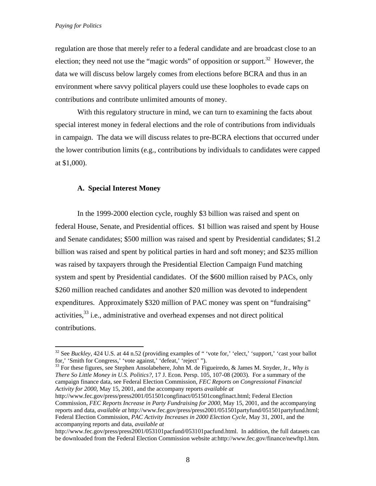$\overline{a}$ 

regulation are those that merely refer to a federal candidate and are broadcast close to an election; they need not use the "magic words" of opposition or support.<sup>32</sup> However, the data we will discuss below largely comes from elections before BCRA and thus in an environment where savvy political players could use these loopholes to evade caps on contributions and contribute unlimited amounts of money.

With this regulatory structure in mind, we can turn to examining the facts about special interest money in federal elections and the role of contributions from individuals in campaign. The data we will discuss relates to pre-BCRA elections that occurred under the lower contribution limits (e.g., contributions by individuals to candidates were capped at \$1,000).

# **A. Special Interest Money**

 In the 1999-2000 election cycle, roughly \$3 billion was raised and spent on federal House, Senate, and Presidential offices. \$1 billion was raised and spent by House and Senate candidates; \$500 million was raised and spent by Presidential candidates; \$1.2 billion was raised and spent by political parties in hard and soft money; and \$235 million was raised by taxpayers through the Presidential Election Campaign Fund matching system and spent by Presidential candidates. Of the \$600 million raised by PACs, only \$260 million reached candidates and another \$20 million was devoted to independent expenditures. Approximately \$320 million of PAC money was spent on "fundraising" activities,  $33$  i.e., administrative and overhead expenses and not direct political contributions.

33 For these figures, see Stephen Ansolabehere, John M. de Figueiredo, & James M. Snyder, Jr., *Why is There So Little Money in U.S. Politics?*, 17 J. Econ. Persp. 105, 107-08 (2003). For a summary of the campaign finance data, see Federal Election Commission, *FEC Reports on Congressional Financial Activity for 2000*, May 15, 2001, and the accompany reports *available at*

<sup>&</sup>lt;sup>32</sup> See *Buckley*, 424 U.S. at 44 n.52 (providing examples of "vote for,' 'elect,' 'support,' 'cast your ballot for,' 'Smith for Congress,' 'vote against,' 'defeat,' 'reject' ").

http://www.fec.gov/press/press2001/051501congfinact/051501congfinact.html; Federal Election Commission, *FEC Reports Increase in Party Fundraising for 2000*, May 15, 2001, and the accompanying reports and data, *available at* http://www.fec.gov/press/press2001/051501partyfund/051501partyfund.html; Federal Election Commission, *PAC Activity Increases in 2000 Election Cycle*, May 31, 2001, and the accompanying reports and data, *available at*

http://www.fec.gov/press/press2001/053101pacfund/053101pacfund.html. In addition, the full datasets can be downloaded from the Federal Election Commission website at:http://www.fec.gov/finance/newftp1.htm.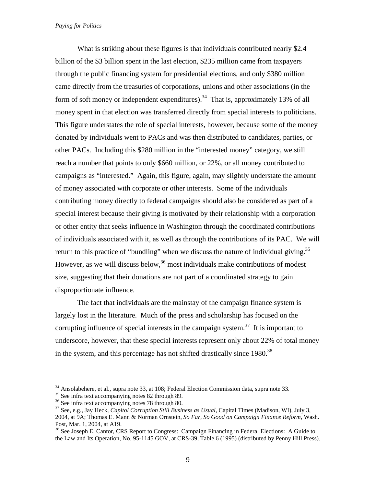What is striking about these figures is that individuals contributed nearly \$2.4 billion of the \$3 billion spent in the last election, \$235 million came from taxpayers through the public financing system for presidential elections, and only \$380 million came directly from the treasuries of corporations, unions and other associations (in the form of soft money or independent expenditures).<sup>34</sup> That is, approximately 13% of all money spent in that election was transferred directly from special interests to politicians. This figure understates the role of special interests, however, because some of the money donated by individuals went to PACs and was then distributed to candidates, parties, or other PACs. Including this \$280 million in the "interested money" category, we still reach a number that points to only \$660 million, or 22%, or all money contributed to campaigns as "interested." Again, this figure, again, may slightly understate the amount of money associated with corporate or other interests. Some of the individuals contributing money directly to federal campaigns should also be considered as part of a special interest because their giving is motivated by their relationship with a corporation or other entity that seeks influence in Washington through the coordinated contributions of individuals associated with it, as well as through the contributions of its PAC. We will return to this practice of "bundling" when we discuss the nature of individual giving.<sup>35</sup> However, as we will discuss below,  $36$  most individuals make contributions of modest size, suggesting that their donations are not part of a coordinated strategy to gain disproportionate influence.

 The fact that individuals are the mainstay of the campaign finance system is largely lost in the literature. Much of the press and scholarship has focused on the corrupting influence of special interests in the campaign system.<sup>37</sup> It is important to underscore, however, that these special interests represent only about 22% of total money in the system, and this percentage has not shifted drastically since  $1980$ <sup>38</sup>

 $34$  Ansolabehere, et al., supra note 33, at 108; Federal Election Commission data, supra note 33.<br><sup>35</sup> See infra text accompanying notes 82 through 89.

<sup>&</sup>lt;sup>36</sup> See infra text accompanying notes 78 through 80.<br><sup>37</sup> See, e.g., Jay Heck, *Capitol Corruption Still Business as Usual*, Capital Times (Madison, WI), July 3, 2004, at 9A; Thomas E. Mann & Norman Ornstein, *So Far, So Good on Campaign Finance Reform,* Wash. Post, Mar. 1, 2004, at A19.

<sup>&</sup>lt;sup>38</sup> See Joseph E. Cantor, CRS Report to Congress: Campaign Financing in Federal Elections: A Guide to the Law and Its Operation, No. 95-1145 GOV, at CRS-39, Table 6 (1995) (distributed by Penny Hill Press).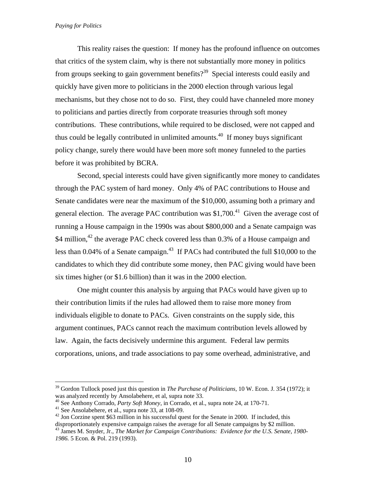This reality raises the question: If money has the profound influence on outcomes that critics of the system claim, why is there not substantially more money in politics from groups seeking to gain government benefits?<sup>39</sup> Special interests could easily and quickly have given more to politicians in the 2000 election through various legal mechanisms, but they chose not to do so. First, they could have channeled more money to politicians and parties directly from corporate treasuries through soft money contributions. These contributions, while required to be disclosed, were not capped and thus could be legally contributed in unlimited amounts.<sup>40</sup> If money buys significant policy change, surely there would have been more soft money funneled to the parties before it was prohibited by BCRA.

Second, special interests could have given significantly more money to candidates through the PAC system of hard money. Only 4% of PAC contributions to House and Senate candidates were near the maximum of the \$10,000, assuming both a primary and general election. The average PAC contribution was  $$1,700<sup>41</sup>$  Given the average cost of running a House campaign in the 1990s was about \$800,000 and a Senate campaign was \$4 million,<sup>42</sup> the average PAC check covered less than 0.3% of a House campaign and less than  $0.04\%$  of a Senate campaign.<sup>43</sup> If PACs had contributed the full \$10,000 to the candidates to which they did contribute some money, then PAC giving would have been six times higher (or \$1.6 billion) than it was in the 2000 election.

One might counter this analysis by arguing that PACs would have given up to their contribution limits if the rules had allowed them to raise more money from individuals eligible to donate to PACs. Given constraints on the supply side, this argument continues, PACs cannot reach the maximum contribution levels allowed by law. Again, the facts decisively undermine this argument. Federal law permits corporations, unions, and trade associations to pay some overhead, administrative, and

<sup>&</sup>lt;sup>39</sup> Gordon Tullock posed just this question in *The Purchase of Politicians*, 10 W. Econ. J. 354 (1972); it was analyzed recently by Ansolabehere, et al, supra note 33.

<sup>&</sup>lt;sup>40</sup> See Anthony Corrado, *Party Soft Money*, in Corrado, et al., supra note 24, at 170-71.<br><sup>41</sup> See Ansolabehere, et al., supra note 33, at 108-09.<br><sup>42</sup> Jon Corzine spent \$63 million in his successful quest for the Senat

disproportionately expensive campaign raises the average for all Senate campaigns by \$2 million.

<sup>43</sup> James M. Snyder, Jr., *The Market for Campaign Contributions: Evidence for the U.S. Senate, 1980- 1986.* 5 Econ. & Pol. 219 (1993).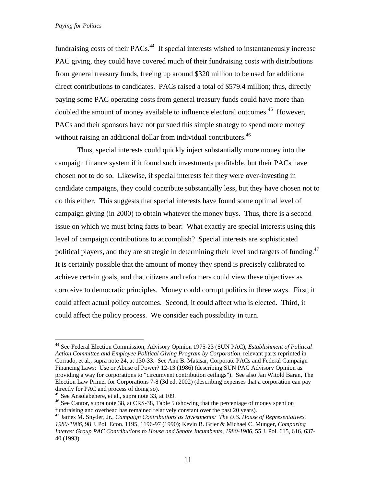fundraising costs of their  $PACs<sup>44</sup>$ . If special interests wished to instantaneously increase PAC giving, they could have covered much of their fundraising costs with distributions from general treasury funds, freeing up around \$320 million to be used for additional direct contributions to candidates. PACs raised a total of \$579.4 million; thus, directly paying some PAC operating costs from general treasury funds could have more than doubled the amount of money available to influence electoral outcomes.<sup>45</sup> However, PACs and their sponsors have not pursued this simple strategy to spend more money without raising an additional dollar from individual contributors.<sup>46</sup>

 Thus, special interests could quickly inject substantially more money into the campaign finance system if it found such investments profitable, but their PACs have chosen not to do so. Likewise, if special interests felt they were over-investing in candidate campaigns, they could contribute substantially less, but they have chosen not to do this either. This suggests that special interests have found some optimal level of campaign giving (in 2000) to obtain whatever the money buys. Thus, there is a second issue on which we must bring facts to bear: What exactly are special interests using this level of campaign contributions to accomplish? Special interests are sophisticated political players, and they are strategic in determining their level and targets of funding.<sup>47</sup> It is certainly possible that the amount of money they spend is precisely calibrated to achieve certain goals, and that citizens and reformers could view these objectives as corrosive to democratic principles. Money could corrupt politics in three ways. First, it could affect actual policy outcomes. Second, it could affect who is elected. Third, it could affect the policy process. We consider each possibility in turn.

<sup>44</sup> See Federal Election Commission, Advisory Opinion 1975-23 (SUN PAC), *Establishment of Political Action Committee and Employee Political Giving Program by Corporation*, relevant parts reprinted in Corrado, et al., supra note 24, at 130-33. See Ann B. Matasar, Corporate PACs and Federal Campaign Financing Laws: Use or Abuse of Power? 12-13 (1986) (describing SUN PAC Advisory Opinion as providing a way for corporations to "circumvent contribution ceilings"). See also Jan Witold Baran, The Election Law Primer for Corporations 7-8 (3d ed. 2002) (describing expenses that a corporation can pay directly for PAC and process of doing so).

<sup>45</sup> See Ansolabehere, et al., supra note 33, at 109.

<sup>&</sup>lt;sup>46</sup> See Cantor, supra note 38, at CRS-38, Table 5 (showing that the percentage of money spent on fundraising and overhead has remained relatively constant over the past 20 years).

<sup>47</sup> James M. Snyder, Jr., *Campaign Contributions as Investments: The U.S. House of Representatives, 1980-1986*, 98 J. Pol. Econ. 1195, 1196-97 (1990); Kevin B. Grier & Michael C. Munger, *Comparing Interest Group PAC Contributions to House and Senate Incumbents, 1980-1986,* 55 J. Pol. 615, 616, 637- 40 (1993).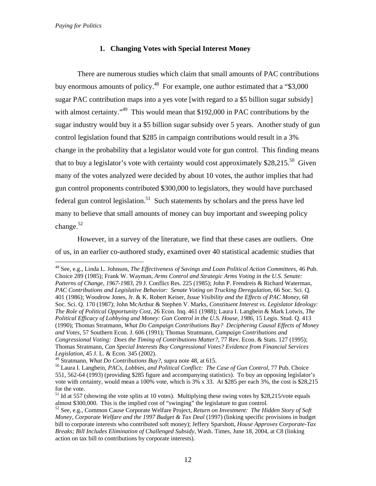$\overline{a}$ 

# **1. Changing Votes with Special Interest Money**

There are numerous studies which claim that small amounts of PAC contributions buy enormous amounts of policy.<sup>48</sup> For example, one author estimated that a "\$3,000" sugar PAC contribution maps into a yes vote [with regard to a \$5 billion sugar subsidy] with almost certainty."<sup>49</sup> This would mean that \$192,000 in PAC contributions by the sugar industry would buy it a \$5 billion sugar subsidy over 5 years. Another study of gun control legislation found that \$285 in campaign contributions would result in a 3% change in the probability that a legislator would vote for gun control. This finding means that to buy a legislator's vote with certainty would cost approximately  $$28,215$ <sup>50</sup> Given many of the votes analyzed were decided by about 10 votes, the author implies that had gun control proponents contributed \$300,000 to legislators, they would have purchased federal gun control legislation.<sup>51</sup> Such statements by scholars and the press have led many to believe that small amounts of money can buy important and sweeping policy change.<sup>52</sup>

However, in a survey of the literature, we find that these cases are outliers. One of us, in an earlier co-authored study, examined over 40 statistical academic studies that

<sup>48</sup> See, e.g., Linda L. Johnson, *The Effectiveness of Savings and Loan Political Action Committees,* 46 Pub. Choice 289 (1985); Frank W. Wayman, *Arms Control and Strategic Arms Voting in the U.S. Senate: Patterns of Change, 1967-1983*, 29 J. Conflict Res. 225 (1985); John P. Frendreis & Richard Waterman, *PAC Contributions and Legislative Behavior: Senate Voting on Trucking Deregulation,* 66 Soc. Sci. Q. 401 (1986); Woodrow Jones, Jr. & K. Robert Keiser, *Issue Visibility and the Effects of PAC Money,* 68 Soc. Sci. Q. 170 (1987); John McArthur & Stephen V. Marks, *Constituent Interest vs. Legislator Ideology: The Role of Political Opportunity Cost,* 26 Econ. Inq. 461 (1988); Laura I. Langbein & Mark Lotwis, *The*  Political Efficacy of Lobbying and Money: Gun Control in the U.S. House, 1986, 15 Legis. Stud. Q. 413 (1990); Thomas Stratmann, *What Do Campaign Contributions Buy? Deciphering Causal Effects of Money and Votes,* 57 Southern Econ. J. 606 (1991); Thomas Stratmann, *Campaign Contributions and Congressional Voting: Does the Timing of Contributions Matter?,* 77 Rev. Econ. & Stats. 127 (1995); Thomas Stratmann, *Can Special Interests Buy Congressional Votes? Evidence from Financial Services Legislation,* 45 J. L. & Econ. 345 (2002).<br><sup>49</sup> Stratmann, *What Do Contributions Buy?*, supra note 48, at 615.

<sup>&</sup>lt;sup>50</sup> Laura I. Langbein, *PACs, Lobbies, and Political Conflict: The Case of Gun Control, 77 Pub. Choice* 551, 562-64 (1993) (providing \$285 figure and accompanying statistics). To buy an opposing legislator's vote with certainty, would mean a 100% vote, which is 3% x 33. At \$285 per each 3%, the cost is \$28,215 for the vote.

<sup>&</sup>lt;sup>51</sup> Id at 557 (showing the vote splits at 10 votes). Multiplying these swing votes by \$28,215/vote equals almost \$300,000. This is the implied cost of "swinging" the legislature to gun control.

<sup>52</sup> See, e.g., Common Cause Corporate Welfare Project, *Return on Investment: The Hidden Story of Soft Money, Corporate Welfare and the 1997 Budget & Tax Deal* (1997) (linking specific provisions in budget bill to corporate interests who contributed soft money); Jeffery Sparshott, *House Approves Corporate-Tax Breaks; Bill Includes Elimination of Challenged Subsidy,* Wash. Times, June 18, 2004, at C8 (linking action on tax bill to contributions by corporate interests).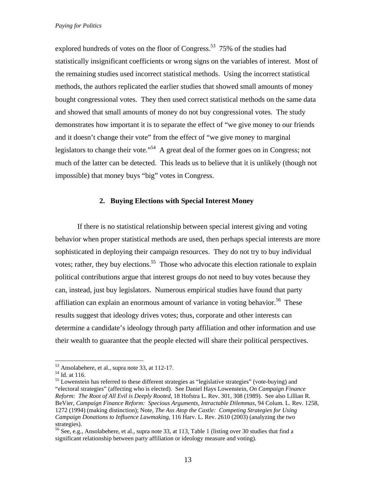explored hundreds of votes on the floor of Congress.<sup>53</sup> 75% of the studies had statistically insignificant coefficients or wrong signs on the variables of interest. Most of the remaining studies used incorrect statistical methods. Using the incorrect statistical methods, the authors replicated the earlier studies that showed small amounts of money bought congressional votes. They then used correct statistical methods on the same data and showed that small amounts of money do not buy congressional votes. The study demonstrates how important it is to separate the effect of "we give money to our friends and it doesn't change their vote" from the effect of "we give money to marginal legislators to change their vote."<sup>54</sup> A great deal of the former goes on in Congress; not much of the latter can be detected. This leads us to believe that it is unlikely (though not impossible) that money buys "big" votes in Congress.

# **2. Buying Elections with Special Interest Money**

If there is no statistical relationship between special interest giving and voting behavior when proper statistical methods are used, then perhaps special interests are more sophisticated in deploying their campaign resources. They do not try to buy individual votes; rather, they buy elections.<sup>55</sup> Those who advocate this election rationale to explain political contributions argue that interest groups do not need to buy votes because they can, instead, just buy legislators. Numerous empirical studies have found that party affiliation can explain an enormous amount of variance in voting behavior.<sup>56</sup> These results suggest that ideology drives votes; thus, corporate and other interests can determine a candidate's ideology through party affiliation and other information and use their wealth to guarantee that the people elected will share their political perspectives.

<sup>53</sup> Ansolabehere, et al., supra note 33, at 112-17.

<sup>54</sup> Id. at 116.

<sup>&</sup>lt;sup>55</sup> Lowenstein has referred to these different strategies as "legislative strategies" (vote-buying) and "electoral strategies" (affecting who is elected). See Daniel Hays Lowenstein, *On Campaign Finance Reform: The Root of All Evil is Deeply Rooted*, 18 Hofstra L. Rev. 301, 308 (1989). See also Lillian R. BeVier, *Campaign Finance Reform: Specious Arguments, Intractable Dilemmas*, 94 Colum. L. Rev. 1258, 1272 (1994) (making distinction); Note, *The Ass Atop the Castle: Competing Strategies for Using Campaign Donations to Influence Lawmaking*, 116 Harv. L. Rev. 2610 (2003) (analyzing the two strategies).

<sup>56</sup> See, e.g., Ansolabehere, et al., supra note 33, at 113, Table 1 (listing over 30 studies that find a significant relationship between party affiliation or ideology measure and voting).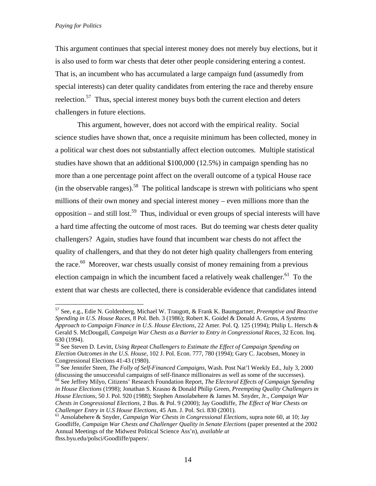1

This argument continues that special interest money does not merely buy elections, but it is also used to form war chests that deter other people considering entering a contest. That is, an incumbent who has accumulated a large campaign fund (assumedly from special interests) can deter quality candidates from entering the race and thereby ensure reelection.<sup>57</sup> Thus, special interest money buys both the current election and deters challengers in future elections.

This argument, however, does not accord with the empirical reality. Social science studies have shown that, once a requisite minimum has been collected, money in a political war chest does not substantially affect election outcomes. Multiple statistical studies have shown that an additional \$100,000 (12.5%) in campaign spending has no more than a one percentage point affect on the overall outcome of a typical House race (in the observable ranges).<sup>58</sup> The political landscape is strewn with politicians who spent millions of their own money and special interest money – even millions more than the opposition – and still lost.<sup>59</sup> Thus, individual or even groups of special interests will have a hard time affecting the outcome of most races. But do teeming war chests deter quality challengers? Again, studies have found that incumbent war chests do not affect the quality of challengers, and that they do not deter high quality challengers from entering the race. $60$  Moreover, war chests usually consist of money remaining from a previous election campaign in which the incumbent faced a relatively weak challenger. $61$  To the extent that war chests are collected, there is considerable evidence that candidates intend

<sup>57</sup> See, e.g., Edie N. Goldenberg, Michael W. Traugott, & Frank K. Baumgartner, *Preemptive and Reactive Spending in U.S. House Races,* 8 Pol. Beh. 3 (1986); Robert K. Goidel & Donald A. Gross, *A Systems Approach to Campaign Finance in U.S. House Elections,* 22 Amer. Pol. Q. 125 (1994); Philip L. Hersch & Gerald S. McDougall, *Campaign War Chests as a Barrier to Entry in Congressional Races,* 32 Econ. Inq. 630 (1994).

<sup>58</sup> See Steven D. Levitt, *Using Repeat Challengers to Estimate the Effect of Campaign Spending on Election Outcomes in the U.S. House,* 102 J. Pol. Econ. 777, 780 (1994); Gary C. Jacobsen, Money in Congressional Elections 41-43 (1980).

<sup>&</sup>lt;sup>59</sup> See Jennifer Steen, *The Folly of Self-Financed Campaigns*, Wash. Post Nat'l Weekly Ed., July 3, 2000 (discussing the unsuccessful campaigns of self-finance millionaires as well as some of the successes).

<sup>&</sup>lt;sup>60</sup> See Jeffrey Milyo, Citizens' Research Foundation Report, *The Electoral Effects of Campaign Spending in House Elections* (1998); Jonathan S. Krasno & Donald Philip Green, *Preempting Quality Challengers in House Elections,* 50 J. Pol. 920 (1988); Stephen Ansolabehere & James M. Snyder, Jr., *Campaign War Chests in Congressional Elections,* 2 Bus. & Pol. 9 (2000); Jay Goodliffe, *The Effect of War Chests on Challenger Entry in U.S House Elections,* 45 Am. J. Pol. Sci. 830 (2001). 61 Ansolabehere & Snyder, *Campaign War Chests in Congressional Elections,* supra note 60, at 10; Jay

Goodliffe, *Campaign War Chests and Challenger Quality in Senate Elections* (paper presented at the 2002 Annual Meetings of the Midwest Political Science Ass'n), *available at*  fhss.byu.edu/polsci/Goodliffe/papers/.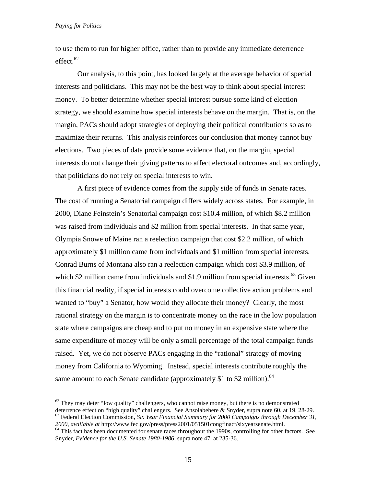$\overline{a}$ 

to use them to run for higher office, rather than to provide any immediate deterrence effect.<sup>62</sup>

Our analysis, to this point, has looked largely at the average behavior of special interests and politicians. This may not be the best way to think about special interest money. To better determine whether special interest pursue some kind of election strategy, we should examine how special interests behave on the margin. That is, on the margin, PACs should adopt strategies of deploying their political contributions so as to maximize their returns. This analysis reinforces our conclusion that money cannot buy elections. Two pieces of data provide some evidence that, on the margin, special interests do not change their giving patterns to affect electoral outcomes and, accordingly, that politicians do not rely on special interests to win.

A first piece of evidence comes from the supply side of funds in Senate races. The cost of running a Senatorial campaign differs widely across states. For example, in 2000, Diane Feinstein's Senatorial campaign cost \$10.4 million, of which \$8.2 million was raised from individuals and \$2 million from special interests. In that same year, Olympia Snowe of Maine ran a reelection campaign that cost \$2.2 million, of which approximately \$1 million came from individuals and \$1 million from special interests. Conrad Burns of Montana also ran a reelection campaign which cost \$3.9 million, of which \$2 million came from individuals and \$1.9 million from special interests. $^{63}$  Given this financial reality, if special interests could overcome collective action problems and wanted to "buy" a Senator, how would they allocate their money? Clearly, the most rational strategy on the margin is to concentrate money on the race in the low population state where campaigns are cheap and to put no money in an expensive state where the same expenditure of money will be only a small percentage of the total campaign funds raised. Yet, we do not observe PACs engaging in the "rational" strategy of moving money from California to Wyoming. Instead, special interests contribute roughly the same amount to each Senate candidate (approximately \$1 to \$2 million).  $64$ 

 $62$  They may deter "low quality" challengers, who cannot raise money, but there is no demonstrated deterrence effect on "high quality" challengers. See Ansolabehere & Snyder, supra note 60, at 19, 28-29.<br><sup>63</sup> Federal Election Commission, *Six Year Financial Summary for 2000 Campaigns through December 31*,

*<sup>2000</sup>*, *available at* http://www.fec.gov/press/press2001/051501congfinact/sixyearsenate.html. 64 This fact has been documented for senate races throughout the 1990s, controlling for other factors. See Snyder, *Evidence for the U.S. Senate 1980-1986*, supra note 47, at 235-36.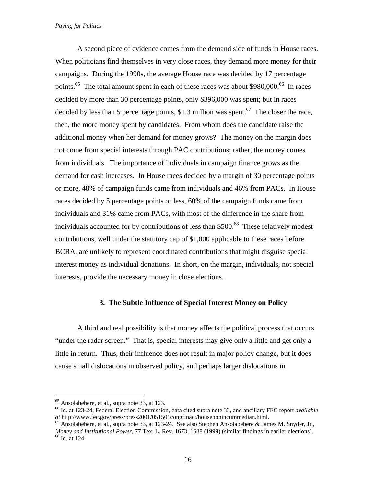A second piece of evidence comes from the demand side of funds in House races. When politicians find themselves in very close races, they demand more money for their campaigns. During the 1990s, the average House race was decided by 17 percentage points.<sup>65</sup> The total amount spent in each of these races was about \$980,000.<sup>66</sup> In races decided by more than 30 percentage points, only \$396,000 was spent; but in races decided by less than 5 percentage points, \$1.3 million was spent.<sup>67</sup> The closer the race, then, the more money spent by candidates. From whom does the candidate raise the additional money when her demand for money grows? The money on the margin does not come from special interests through PAC contributions; rather, the money comes from individuals. The importance of individuals in campaign finance grows as the demand for cash increases. In House races decided by a margin of 30 percentage points or more, 48% of campaign funds came from individuals and 46% from PACs. In House races decided by 5 percentage points or less, 60% of the campaign funds came from individuals and 31% came from PACs, with most of the difference in the share from individuals accounted for by contributions of less than  $$500<sup>68</sup>$  These relatively modest contributions, well under the statutory cap of \$1,000 applicable to these races before BCRA, are unlikely to represent coordinated contributions that might disguise special interest money as individual donations. In short, on the margin, individuals, not special interests, provide the necessary money in close elections.

# **3. The Subtle Influence of Special Interest Money on Policy**

A third and real possibility is that money affects the political process that occurs "under the radar screen." That is, special interests may give only a little and get only a little in return. Thus, their influence does not result in major policy change, but it does cause small dislocations in observed policy, and perhaps larger dislocations in

<sup>65</sup> Ansolabehere, et al., supra note 33, at 123.

<sup>66</sup> Id. at 123-24; Federal Election Commission, data cited supra note 33, and ancillary FEC report *available at* http://www.fec.gov/press/press2001/051501congfinact/housenonincummedian.html. 67 Ansolabehere, et al., supra note 33, at 123-24. See also Stephen Ansolabehere & James M. Snyder, Jr.,

*Money and Institutional Power*, 77 Tex. L. Rev. 1673, 1688 (1999) (similar findings in earlier elections). <sup>68</sup> Id. at 124.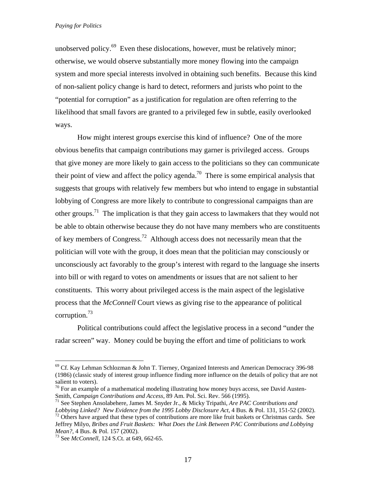unobserved policy.<sup>69</sup> Even these dislocations, however, must be relatively minor; otherwise, we would observe substantially more money flowing into the campaign system and more special interests involved in obtaining such benefits. Because this kind of non-salient policy change is hard to detect, reformers and jurists who point to the "potential for corruption" as a justification for regulation are often referring to the likelihood that small favors are granted to a privileged few in subtle, easily overlooked ways.

How might interest groups exercise this kind of influence? One of the more obvious benefits that campaign contributions may garner is privileged access. Groups that give money are more likely to gain access to the politicians so they can communicate their point of view and affect the policy agenda.<sup>70</sup> There is some empirical analysis that suggests that groups with relatively few members but who intend to engage in substantial lobbying of Congress are more likely to contribute to congressional campaigns than are other groups.<sup>71</sup> The implication is that they gain access to lawmakers that they would not be able to obtain otherwise because they do not have many members who are constituents of key members of Congress.72 Although access does not necessarily mean that the politician will vote with the group, it does mean that the politician may consciously or unconsciously act favorably to the group's interest with regard to the language she inserts into bill or with regard to votes on amendments or issues that are not salient to her constituents. This worry about privileged access is the main aspect of the legislative process that the *McConnell* Court views as giving rise to the appearance of political corruption.73

Political contributions could affect the legislative process in a second "under the radar screen" way. Money could be buying the effort and time of politicians to work

<sup>69</sup> Cf. Kay Lehman Schlozman & John T. Tierney, Organized Interests and American Democracy 396-98 (1986) (classic study of interest group influence finding more influence on the details of policy that are not salient to voters).

 $70$  For an example of a mathematical modeling illustrating how money buys access, see David Austen-<br>Smith, *Campaign Contributions and Access*, 89 Am. Pol. Sci. Rev. 566 (1995).

<sup>&</sup>lt;sup>71</sup> See Stephen Ansolabehere, James M. Snyder Jr., & Micky Tripathi, *Are PAC Contributions and Lobbying Linked? New Evidence from the 1995 Lobby Disclosure Act,* 4 Bus. & Pol. 131, 151-52 (2002). <sup>72</sup> Others have argued that these types of contributions are more like fruit baskets or Christmas cards. See

Jeffrey Milyo, *Bribes and Fruit Baskets: What Does the Link Between PAC Contributions and Lobbying* 

<sup>&</sup>lt;sup>73</sup> See *McConnell*, 124 S.Ct. at 649, 662-65.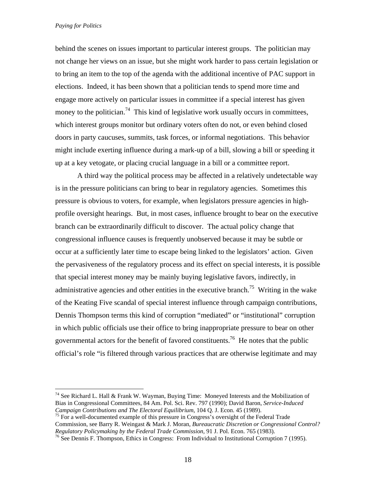$\overline{a}$ 

behind the scenes on issues important to particular interest groups. The politician may not change her views on an issue, but she might work harder to pass certain legislation or to bring an item to the top of the agenda with the additional incentive of PAC support in elections. Indeed, it has been shown that a politician tends to spend more time and engage more actively on particular issues in committee if a special interest has given money to the politician.<sup>74</sup> This kind of legislative work usually occurs in committees, which interest groups monitor but ordinary voters often do not, or even behind closed doors in party caucuses, summits, task forces, or informal negotiations. This behavior might include exerting influence during a mark-up of a bill, slowing a bill or speeding it up at a key vetogate, or placing crucial language in a bill or a committee report.

A third way the political process may be affected in a relatively undetectable way is in the pressure politicians can bring to bear in regulatory agencies. Sometimes this pressure is obvious to voters, for example, when legislators pressure agencies in highprofile oversight hearings. But, in most cases, influence brought to bear on the executive branch can be extraordinarily difficult to discover. The actual policy change that congressional influence causes is frequently unobserved because it may be subtle or occur at a sufficiently later time to escape being linked to the legislators' action. Given the pervasiveness of the regulatory process and its effect on special interests, it is possible that special interest money may be mainly buying legislative favors, indirectly, in administrative agencies and other entities in the executive branch.<sup>75</sup> Writing in the wake of the Keating Five scandal of special interest influence through campaign contributions, Dennis Thompson terms this kind of corruption "mediated" or "institutional" corruption in which public officials use their office to bring inappropriate pressure to bear on other governmental actors for the benefit of favored constituents.<sup>76</sup> He notes that the public official's role "is filtered through various practices that are otherwise legitimate and may

Commission, see Barry R. Weingast & Mark J. Moran, *Bureaucratic Discretion or Congressional Control? Regulatory Policymaking by the Federal Trade Commission,* 91 J. Pol. Econ. 765 (1983).<br><sup>76</sup> See Dennis F. Thompson, Ethics in Congress: From Individual to Institutional Corruption 7 (1995).

<sup>&</sup>lt;sup>74</sup> See Richard L. Hall & Frank W. Wayman, Buying Time: Moneyed Interests and the Mobilization of Bias in Congressional Committees, 84 Am. Pol. Sci. Rev. 797 (1990); David Baron, *Service-Induced Campaign Contributions and The Electoral Equilibrium,* 104 Q. J. Econ. 45 (1989).<br><sup>75</sup> For a well-documented example of this pressure in Congress's oversight of the Federal Trade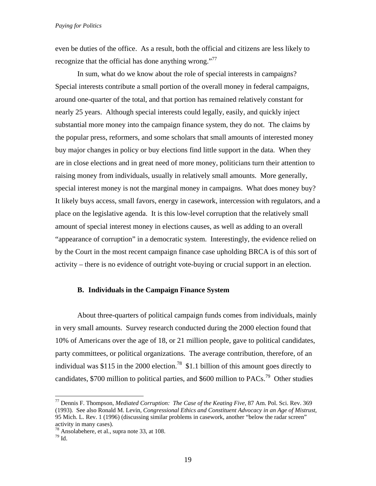even be duties of the office. As a result, both the official and citizens are less likely to recognize that the official has done anything wrong."<sup>77</sup>

In sum, what do we know about the role of special interests in campaigns? Special interests contribute a small portion of the overall money in federal campaigns, around one-quarter of the total, and that portion has remained relatively constant for nearly 25 years. Although special interests could legally, easily, and quickly inject substantial more money into the campaign finance system, they do not. The claims by the popular press, reformers, and some scholars that small amounts of interested money buy major changes in policy or buy elections find little support in the data. When they are in close elections and in great need of more money, politicians turn their attention to raising money from individuals, usually in relatively small amounts. More generally, special interest money is not the marginal money in campaigns. What does money buy? It likely buys access, small favors, energy in casework, intercession with regulators, and a place on the legislative agenda. It is this low-level corruption that the relatively small amount of special interest money in elections causes, as well as adding to an overall "appearance of corruption" in a democratic system. Interestingly, the evidence relied on by the Court in the most recent campaign finance case upholding BRCA is of this sort of activity – there is no evidence of outright vote-buying or crucial support in an election.

# **B. Individuals in the Campaign Finance System**

About three-quarters of political campaign funds comes from individuals, mainly in very small amounts. Survey research conducted during the 2000 election found that 10% of Americans over the age of 18, or 21 million people, gave to political candidates, party committees, or political organizations. The average contribution, therefore, of an individual was \$115 in the 2000 election.<sup>78</sup> \$1.1 billion of this amount goes directly to candidates, \$700 million to political parties, and \$600 million to PACs.<sup>79</sup> Other studies

<sup>77</sup> Dennis F. Thompson, *Mediated Corruption: The Case of the Keating Five*, 87 Am. Pol. Sci. Rev. 369 (1993). See also Ronald M. Levin, *Congressional Ethics and Constituent Advocacy in an Age of Mistrust*, 95 Mich. L. Rev. 1 (1996) (discussing similar problems in casework, another "below the radar screen" activity in many cases).

<sup>78</sup> Ansolabehere, et al., supra note 33, at 108.

 $^{79}$  Id.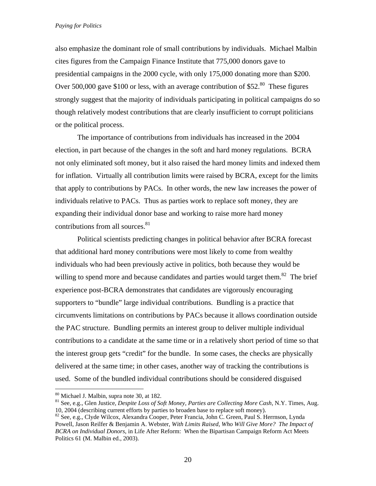also emphasize the dominant role of small contributions by individuals. Michael Malbin cites figures from the Campaign Finance Institute that 775,000 donors gave to presidential campaigns in the 2000 cycle, with only 175,000 donating more than \$200. Over 500,000 gave \$100 or less, with an average contribution of \$52. $80$  These figures strongly suggest that the majority of individuals participating in political campaigns do so though relatively modest contributions that are clearly insufficient to corrupt politicians or the political process.

The importance of contributions from individuals has increased in the 2004 election, in part because of the changes in the soft and hard money regulations. BCRA not only eliminated soft money, but it also raised the hard money limits and indexed them for inflation. Virtually all contribution limits were raised by BCRA, except for the limits that apply to contributions by PACs. In other words, the new law increases the power of individuals relative to PACs. Thus as parties work to replace soft money, they are expanding their individual donor base and working to raise more hard money contributions from all sources.<sup>81</sup>

Political scientists predicting changes in political behavior after BCRA forecast that additional hard money contributions were most likely to come from wealthy individuals who had been previously active in politics, both because they would be willing to spend more and because candidates and parties would target them.<sup>82</sup> The brief experience post-BCRA demonstrates that candidates are vigorously encouraging supporters to "bundle" large individual contributions. Bundling is a practice that circumvents limitations on contributions by PACs because it allows coordination outside the PAC structure. Bundling permits an interest group to deliver multiple individual contributions to a candidate at the same time or in a relatively short period of time so that the interest group gets "credit" for the bundle. In some cases, the checks are physically delivered at the same time; in other cases, another way of tracking the contributions is used. Some of the bundled individual contributions should be considered disguised

<u>.</u>

<sup>80</sup> Michael J. Malbin, supra note 30, at 182.<br><sup>81</sup> See, e.g., Glen Justice, *Despite Loss of Soft Money, Parties are Collecting More Cash*, N.Y. Times, Aug. 10, 2004 (describing current efforts by parties to broaden base to replace soft money).

<sup>&</sup>lt;sup>82</sup> See, e.g., Clyde Wilcox, Alexandra Cooper, Peter Francia, John C. Green, Paul S. Herrnson, Lynda Powell, Jason Reilfer & Benjamin A. Webster, *With Limits Raised, Who Will Give More? The Impact of BCRA on Individual Donors*, in Life After Reform: When the Bipartisan Campaign Reform Act Meets Politics 61 (M. Malbin ed., 2003).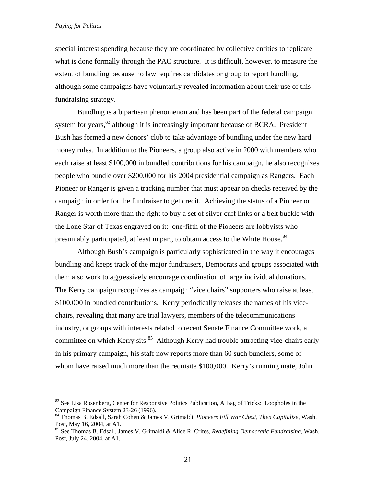$\overline{a}$ 

special interest spending because they are coordinated by collective entities to replicate what is done formally through the PAC structure. It is difficult, however, to measure the extent of bundling because no law requires candidates or group to report bundling, although some campaigns have voluntarily revealed information about their use of this fundraising strategy.

Bundling is a bipartisan phenomenon and has been part of the federal campaign system for years,  $83$  although it is increasingly important because of BCRA. President Bush has formed a new donors' club to take advantage of bundling under the new hard money rules. In addition to the Pioneers, a group also active in 2000 with members who each raise at least \$100,000 in bundled contributions for his campaign, he also recognizes people who bundle over \$200,000 for his 2004 presidential campaign as Rangers. Each Pioneer or Ranger is given a tracking number that must appear on checks received by the campaign in order for the fundraiser to get credit. Achieving the status of a Pioneer or Ranger is worth more than the right to buy a set of silver cuff links or a belt buckle with the Lone Star of Texas engraved on it: one-fifth of the Pioneers are lobbyists who presumably participated, at least in part, to obtain access to the White House.<sup>84</sup>

Although Bush's campaign is particularly sophisticated in the way it encourages bundling and keeps track of the major fundraisers, Democrats and groups associated with them also work to aggressively encourage coordination of large individual donations. The Kerry campaign recognizes as campaign "vice chairs" supporters who raise at least \$100,000 in bundled contributions. Kerry periodically releases the names of his vicechairs, revealing that many are trial lawyers, members of the telecommunications industry, or groups with interests related to recent Senate Finance Committee work, a committee on which Kerry sits. $85$  Although Kerry had trouble attracting vice-chairs early in his primary campaign, his staff now reports more than 60 such bundlers, some of whom have raised much more than the requisite \$100,000. Kerry's running mate, John

<sup>&</sup>lt;sup>83</sup> See Lisa Rosenberg, Center for Responsive Politics Publication, A Bag of Tricks: Loopholes in the Campaign Finance System 23-26 (1996).

<sup>84</sup> Thomas B. Edsall, Sarah Cohen & James V. Grimaldi*, Pioneers Fill War Chest, Then Capitalize*, Wash. Post, May 16, 2004, at A1.

<sup>85</sup> See Thomas B. Edsall, James V. Grimaldi & Alice R. Crites, *Redefining Democratic Fundraising*, Wash. Post, July 24, 2004, at A1.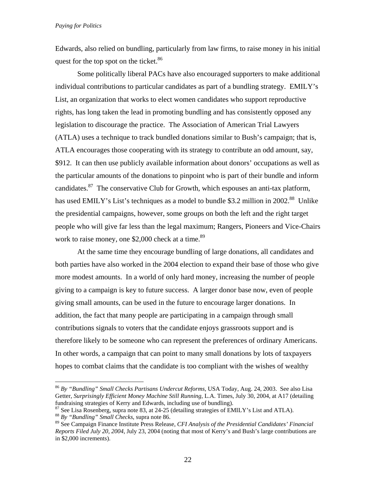Edwards, also relied on bundling, particularly from law firms, to raise money in his initial quest for the top spot on the ticket.<sup>86</sup>

Some politically liberal PACs have also encouraged supporters to make additional individual contributions to particular candidates as part of a bundling strategy. EMILY's List, an organization that works to elect women candidates who support reproductive rights, has long taken the lead in promoting bundling and has consistently opposed any legislation to discourage the practice. The Association of American Trial Lawyers (ATLA) uses a technique to track bundled donations similar to Bush's campaign; that is, ATLA encourages those cooperating with its strategy to contribute an odd amount, say, \$912. It can then use publicly available information about donors' occupations as well as the particular amounts of the donations to pinpoint who is part of their bundle and inform candidates.<sup>87</sup> The conservative Club for Growth, which espouses an anti-tax platform, has used EMILY's List's techniques as a model to bundle \$3.2 million in 2002.<sup>88</sup> Unlike the presidential campaigns, however, some groups on both the left and the right target people who will give far less than the legal maximum; Rangers, Pioneers and Vice-Chairs work to raise money, one \$2,000 check at a time.<sup>89</sup>

At the same time they encourage bundling of large donations, all candidates and both parties have also worked in the 2004 election to expand their base of those who give more modest amounts. In a world of only hard money, increasing the number of people giving to a campaign is key to future success. A larger donor base now, even of people giving small amounts, can be used in the future to encourage larger donations. In addition, the fact that many people are participating in a campaign through small contributions signals to voters that the candidate enjoys grassroots support and is therefore likely to be someone who can represent the preferences of ordinary Americans. In other words, a campaign that can point to many small donations by lots of taxpayers hopes to combat claims that the candidate is too compliant with the wishes of wealthy

<sup>86</sup> *By "Bundling" Small Checks Partisans Undercut Reforms,* USA Today, Aug. 24, 2003. See also Lisa Getter, *Surprisingly Efficient Money Machine Still Running*, L.A. Times, July 30, 2004, at A17 (detailing fundraising strategies of Kerry and Edwards, including use of bundling).

<sup>87</sup> See Lisa Rosenberg, supra note 83, at 24-25 (detailing strategies of EMILY's List and ATLA). 88 *By "Bundling" Small Checks*, supra note 86.

<sup>89</sup> See Campaign Finance Institute Press Release, *CFI Analysis of the Presidential Candidates' Financial Reports Filed July 20, 2004*, July 23, 2004 (noting that most of Kerry's and Bush's large contributions are in \$2,000 increments).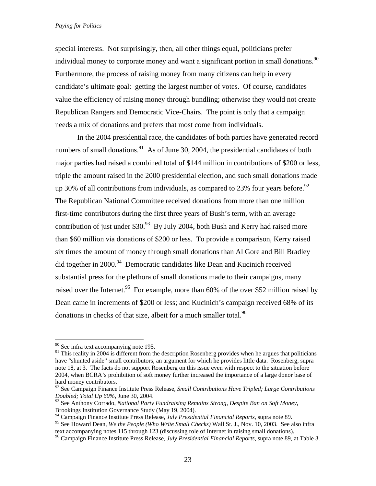special interests. Not surprisingly, then, all other things equal, politicians prefer individual money to corporate money and want a significant portion in small donations.<sup>90</sup> Furthermore, the process of raising money from many citizens can help in every candidate's ultimate goal: getting the largest number of votes. Of course, candidates value the efficiency of raising money through bundling; otherwise they would not create Republican Rangers and Democratic Vice-Chairs. The point is only that a campaign needs a mix of donations and prefers that most come from individuals.

In the 2004 presidential race, the candidates of both parties have generated record numbers of small donations.<sup>91</sup> As of June 30, 2004, the presidential candidates of both major parties had raised a combined total of \$144 million in contributions of \$200 or less, triple the amount raised in the 2000 presidential election, and such small donations made up 30% of all contributions from individuals, as compared to 23% four years before.<sup>92</sup> The Republican National Committee received donations from more than one million first-time contributors during the first three years of Bush's term, with an average contribution of just under \$30. $93$  By July 2004, both Bush and Kerry had raised more than \$60 million via donations of \$200 or less. To provide a comparison, Kerry raised six times the amount of money through small donations than Al Gore and Bill Bradley did together in 2000. $94$  Democratic candidates like Dean and Kucinich received substantial press for the plethora of small donations made to their campaigns, many raised over the Internet.<sup>95</sup> For example, more than 60% of the over \$52 million raised by Dean came in increments of \$200 or less; and Kucinich's campaign received 68% of its donations in checks of that size, albeit for a much smaller total.<sup>96</sup>

 $90$  See infra text accompanying note 195.

<sup>&</sup>lt;sup>91</sup> This reality in 2004 is different from the description Rosenberg provides when he argues that politicians have "shunted aside" small contributors, an argument for which he provides little data. Rosenberg, supra note 18, at 3. The facts do not support Rosenberg on this issue even with respect to the situation before 2004, when BCRA's prohibition of soft money further increased the importance of a large donor base of hard money contributors.

<sup>92</sup> See Campaign Finance Institute Press Release, *Small Contributions Have Tripled; Large Contributions Doubled; Total Up 60%*, June 30, 2004.

<sup>93</sup> See Anthony Corrado, *National Party Fundraising Remains Strong, Despite Ban on Soft Money*, Brookings Institution Governance Study (May 19, 2004).

<sup>94</sup> Campaign Finance Institute Press Release, *July Presidential Financial Reports*, supra note 89.

<sup>&</sup>lt;sup>95</sup> See Howard Dean, *We the People (Who Write Small Checks)* Wall St. J., Nov. 10, 2003. See also infra text accompanying notes 115 through 123 (discussing role of Internet in raising small donations).

<sup>&</sup>lt;sup>96</sup> Campaign Finance Institute Press Release, *July Presidential Financial Reports*, supra note 89, at Table 3.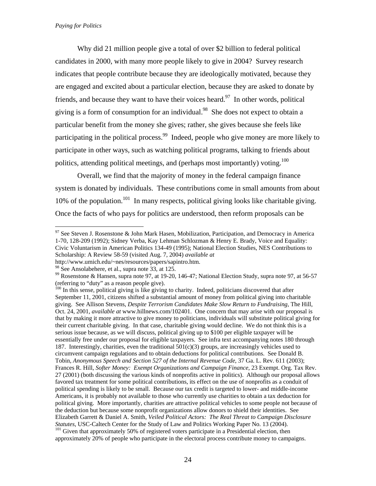Why did 21 million people give a total of over \$2 billion to federal political candidates in 2000, with many more people likely to give in 2004? Survey research indicates that people contribute because they are ideologically motivated, because they are engaged and excited about a particular election, because they are asked to donate by friends, and because they want to have their voices heard.<sup>97</sup> In other words, political giving is a form of consumption for an individual.<sup>98</sup> She does not expect to obtain a particular benefit from the money she gives; rather, she gives because she feels like participating in the political process.<sup>99</sup> Indeed, people who give money are more likely to participate in other ways, such as watching political programs, talking to friends about politics, attending political meetings, and (perhaps most importantly) voting.<sup>100</sup>

Overall, we find that the majority of money in the federal campaign finance system is donated by individuals. These contributions come in small amounts from about 10% of the population.<sup>101</sup> In many respects, political giving looks like charitable giving. Once the facts of who pays for politics are understood, then reform proposals can be

<sup>&</sup>lt;u>.</u>  $97$  See Steven J. Rosenstone & John Mark Hasen, Mobilization, Participation, and Democracy in America 1-70, 128-209 (1992); Sidney Verba, Kay Lehman Schlozman & Henry E. Brady, Voice and Equality: Civic Voluntarism in American Politics 134-49 (1995); National Election Studies, NES Contributions to Scholarship: A Review 58-59 (visited Aug. 7, 2004) *available at*

http://www.umich.edu/~nes/resources/papers/sapintro.htm.

<sup>&</sup>lt;sup>98</sup> See Ansolabehere, et al., supra note 33, at 125.

<sup>99</sup> Rosenstone & Hansen, supra note 97, at 19-20, 146-47; National Election Study, supra note 97, at 56-57 (referring to "duty" as a reason people give).

<sup>&</sup>lt;sup>100</sup> In this sense, political giving is like giving to charity. Indeed, politicians discovered that after September 11, 2001, citizens shifted a substantial amount of money from political giving into charitable giving. See Allison Stevens, *Despite Terrorism Candidates Make Slow Return to Fundraising*, The Hill, Oct. 24, 2001, *available at* www.hillnews.com/102401. One concern that may arise with our proposal is that by making it more attractive to give money to politicians, individuals will substitute political giving for their current charitable giving. In that case, charitable giving would decline. We do not think this is a serious issue because, as we will discuss, political giving up to \$100 per eligible taxpayer will be essentially free under our proposal for eligible taxpayers. See infra text accompanying notes 180 through 187. Interestingly, charities, even the traditional  $501(c)(3)$  groups, are increasingly vehicles used to circumvent campaign regulations and to obtain deductions for political contributions. See Donald B. Tobin, *Anonymous Speech and Section 527 of the Internal Revenue Code*, 37 Ga. L. Rev. 611 (2003); Frances R. Hill, *Softer Money: Exempt Organizations and Campaign Finance*, 23 Exempt. Org. Tax Rev. 27 (2001) (both discussing the various kinds of nonprofits active in politics). Although our proposal allows favored tax treatment for some political contributions, its effect on the use of nonprofits as a conduit of political spending is likely to be small. Because our tax credit is targeted to lower- and middle-income Americans, it is probably not available to those who currently use charities to obtain a tax deduction for political giving. More importantly, charities are attractive political vehicles to some people not because of the deduction but because some nonprofit organizations allow donors to shield their identities. See Elizabeth Garrett & Daniel A. Smith, *Veiled Political Actors: The Real Threat to Campaign Disclosure Statutes*, USC-Caltech Center for the Study of Law and Politics Working Paper No. 13 (2004).<br><sup>101</sup> Given that approximately 50% of registered voters participate in a Presidential election, then approximately 20% of people who participate in the electoral process contribute money to campaigns.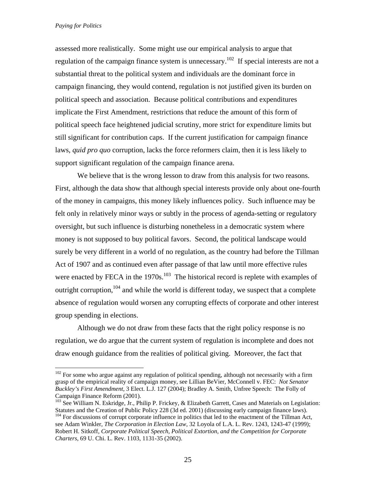1

assessed more realistically. Some might use our empirical analysis to argue that regulation of the campaign finance system is unnecessary.<sup>102</sup> If special interests are not a substantial threat to the political system and individuals are the dominant force in campaign financing, they would contend, regulation is not justified given its burden on political speech and association. Because political contributions and expenditures implicate the First Amendment, restrictions that reduce the amount of this form of political speech face heightened judicial scrutiny, more strict for expenditure limits but still significant for contribution caps. If the current justification for campaign finance laws, *quid pro quo* corruption, lacks the force reformers claim, then it is less likely to support significant regulation of the campaign finance arena.

We believe that is the wrong lesson to draw from this analysis for two reasons. First, although the data show that although special interests provide only about one-fourth of the money in campaigns, this money likely influences policy. Such influence may be felt only in relatively minor ways or subtly in the process of agenda-setting or regulatory oversight, but such influence is disturbing nonetheless in a democratic system where money is not supposed to buy political favors. Second, the political landscape would surely be very different in a world of no regulation, as the country had before the Tillman Act of 1907 and as continued even after passage of that law until more effective rules were enacted by FECA in the  $1970s$ .<sup>103</sup> The historical record is replete with examples of outright corruption,  $104$  and while the world is different today, we suspect that a complete absence of regulation would worsen any corrupting effects of corporate and other interest group spending in elections.

Although we do not draw from these facts that the right policy response is no regulation, we do argue that the current system of regulation is incomplete and does not draw enough guidance from the realities of political giving. Moreover, the fact that

 $102$  For some who argue against any regulation of political spending, although not necessarily with a firm grasp of the empirical reality of campaign money, see Lillian BeVier, McConnell v. FEC: *Not Senator Buckley's First Amendment*, 3 Elect. L.J. 127 (2004); Bradley A. Smith, Unfree Speech: The Folly of Campaign Finance Reform (2001).

<sup>&</sup>lt;sup>103</sup> See William N. Eskridge, Jr., Philip P. Frickey, & Elizabeth Garrett, Cases and Materials on Legislation: Statutes and the Creation of Public Policy 228 (3d ed. 2001) (discussing early campaign finance laws). <sup>104</sup> For discussions of corrupt corporate influence in politics that led to the enactment of the Tillman Act,

see Adam Winkler, *The Corporation in Election Law*, 32 Loyola of L.A. L. Rev. 1243, 1243-47 (1999); Robert H. Sitkoff, *Corporate Political Speech, Political Extortion, and the Competition for Corporate Charters*, 69 U. Chi. L. Rev. 1103, 1131-35 (2002).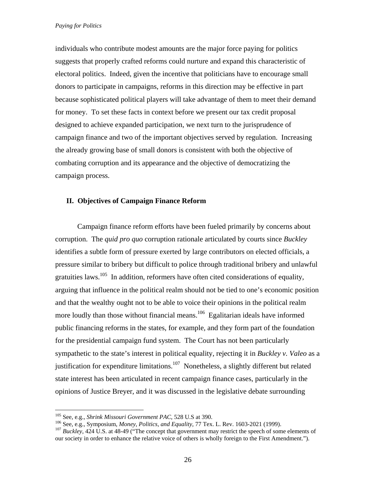individuals who contribute modest amounts are the major force paying for politics suggests that properly crafted reforms could nurture and expand this characteristic of electoral politics. Indeed, given the incentive that politicians have to encourage small donors to participate in campaigns, reforms in this direction may be effective in part because sophisticated political players will take advantage of them to meet their demand for money. To set these facts in context before we present our tax credit proposal designed to achieve expanded participation, we next turn to the jurisprudence of campaign finance and two of the important objectives served by regulation. Increasing the already growing base of small donors is consistent with both the objective of combating corruption and its appearance and the objective of democratizing the campaign process.

# **II. Objectives of Campaign Finance Reform**

Campaign finance reform efforts have been fueled primarily by concerns about corruption. The *quid pro quo* corruption rationale articulated by courts since *Buckley*  identifies a subtle form of pressure exerted by large contributors on elected officials, a pressure similar to bribery but difficult to police through traditional bribery and unlawful gratuities laws.<sup>105</sup> In addition, reformers have often cited considerations of equality, arguing that influence in the political realm should not be tied to one's economic position and that the wealthy ought not to be able to voice their opinions in the political realm more loudly than those without financial means.<sup>106</sup> Egalitarian ideals have informed public financing reforms in the states, for example, and they form part of the foundation for the presidential campaign fund system. The Court has not been particularly sympathetic to the state's interest in political equality, rejecting it in *Buckley v. Valeo* as a justification for expenditure limitations.<sup>107</sup> Nonetheless, a slightly different but related state interest has been articulated in recent campaign finance cases, particularly in the opinions of Justice Breyer, and it was discussed in the legislative debate surrounding

<sup>&</sup>lt;sup>105</sup> See, e.g., *Shrink Missouri Government PAC*, 528 U.S at 390.<br><sup>106</sup> See, e.g., *Symposium, Money, Politics, and Equality*, 77 Tex. L. Rev. 1603-2021 (1999).<br><sup>107</sup> *Buckley*, 424 U.S. at 48-49 ("The concept that gover our society in order to enhance the relative voice of others is wholly foreign to the First Amendment.").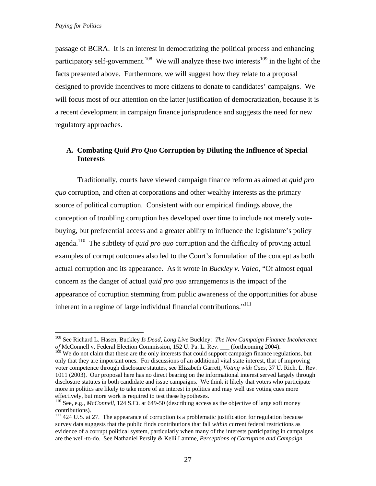1

passage of BCRA. It is an interest in democratizing the political process and enhancing participatory self-government.<sup>108</sup> We will analyze these two interests<sup>109</sup> in the light of the facts presented above. Furthermore, we will suggest how they relate to a proposal designed to provide incentives to more citizens to donate to candidates' campaigns. We will focus most of our attention on the latter justification of democratization, because it is a recent development in campaign finance jurisprudence and suggests the need for new regulatory approaches.

# **A. Combating** *Quid Pro Quo* **Corruption by Diluting the Influence of Special Interests**

Traditionally, courts have viewed campaign finance reform as aimed at *quid pro quo* corruption, and often at corporations and other wealthy interests as the primary source of political corruption. Consistent with our empirical findings above, the conception of troubling corruption has developed over time to include not merely votebuying, but preferential access and a greater ability to influence the legislature's policy agenda.<sup>110</sup> The subtlety of *quid pro quo* corruption and the difficulty of proving actual examples of corrupt outcomes also led to the Court's formulation of the concept as both actual corruption and its appearance. As it wrote in *Buckley v. Valeo*, "Of almost equal concern as the danger of actual *quid pro quo* arrangements is the impact of the appearance of corruption stemming from public awareness of the opportunities for abuse inherent in a regime of large individual financial contributions."<sup>111</sup>

<sup>108</sup> See Richard L. Hasen, Buckley *Is Dead, Long Live* Buckley: *The New Campaign Finance Incoherence of* McConnell v. Federal Election Commission, 152 U. Pa. L. Rev. \_\_\_ (forthcoming 2004).

<sup>&</sup>lt;sup>109</sup> We do not claim that these are the only interests that could support campaign finance regulations, but only that they are important ones. For discussions of an additional vital state interest, that of improving voter competence through disclosure statutes, see Elizabeth Garrett, *Voting with Cues*, 37 U. Rich. L. Rev. 1011 (2003). Our proposal here has no direct bearing on the informational interest served largely through disclosure statutes in both candidate and issue campaigns. We think it likely that voters who participate more in politics are likely to take more of an interest in politics and may well use voting cues more effectively, but more work is required to test these hypotheses.

<sup>110</sup> See, e.g., *McConnell,* 124 S.Ct. at 649-50 (describing access as the objective of large soft money contributions).

 $111$  424 U.S. at 27. The appearance of corruption is a problematic justification for regulation because survey data suggests that the public finds contributions that fall *within* current federal restrictions as evidence of a corrupt political system, particularly when many of the interests participating in campaigns are the well-to-do. See Nathaniel Persily & Kelli Lamme, *Perceptions of Corruption and Campaign*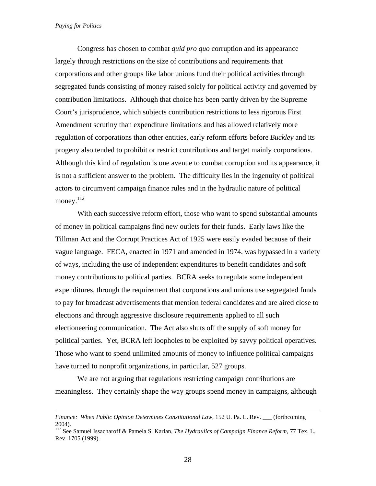$\overline{a}$ 

Congress has chosen to combat *quid pro quo* corruption and its appearance largely through restrictions on the size of contributions and requirements that corporations and other groups like labor unions fund their political activities through segregated funds consisting of money raised solely for political activity and governed by contribution limitations. Although that choice has been partly driven by the Supreme Court's jurisprudence, which subjects contribution restrictions to less rigorous First Amendment scrutiny than expenditure limitations and has allowed relatively more regulation of corporations than other entities, early reform efforts before *Buckley* and its progeny also tended to prohibit or restrict contributions and target mainly corporations. Although this kind of regulation is one avenue to combat corruption and its appearance, it is not a sufficient answer to the problem. The difficulty lies in the ingenuity of political actors to circumvent campaign finance rules and in the hydraulic nature of political money.<sup>112</sup>

With each successive reform effort, those who want to spend substantial amounts of money in political campaigns find new outlets for their funds. Early laws like the Tillman Act and the Corrupt Practices Act of 1925 were easily evaded because of their vague language. FECA, enacted in 1971 and amended in 1974, was bypassed in a variety of ways, including the use of independent expenditures to benefit candidates and soft money contributions to political parties. BCRA seeks to regulate some independent expenditures, through the requirement that corporations and unions use segregated funds to pay for broadcast advertisements that mention federal candidates and are aired close to elections and through aggressive disclosure requirements applied to all such electioneering communication. The Act also shuts off the supply of soft money for political parties. Yet, BCRA left loopholes to be exploited by savvy political operatives. Those who want to spend unlimited amounts of money to influence political campaigns have turned to nonprofit organizations, in particular, 527 groups.

We are not arguing that regulations restricting campaign contributions are meaningless. They certainly shape the way groups spend money in campaigns, although

*Finance: When Public Opinion Determines Constitutional Law*, 152 U. Pa. L. Rev. \_\_\_ (forthcoming 2004).

<sup>112</sup> See Samuel Issacharoff & Pamela S. Karlan, *The Hydraulics of Campaign Finance Reform*, 77 Tex. L. Rev. 1705 (1999).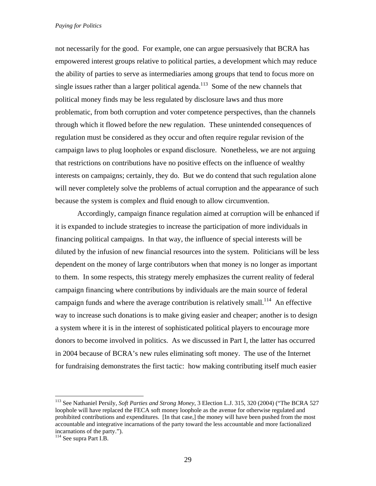not necessarily for the good. For example, one can argue persuasively that BCRA has empowered interest groups relative to political parties, a development which may reduce the ability of parties to serve as intermediaries among groups that tend to focus more on single issues rather than a larger political agenda.<sup>113</sup> Some of the new channels that political money finds may be less regulated by disclosure laws and thus more problematic, from both corruption and voter competence perspectives, than the channels through which it flowed before the new regulation. These unintended consequences of regulation must be considered as they occur and often require regular revision of the campaign laws to plug loopholes or expand disclosure. Nonetheless, we are not arguing that restrictions on contributions have no positive effects on the influence of wealthy interests on campaigns; certainly, they do. But we do contend that such regulation alone will never completely solve the problems of actual corruption and the appearance of such because the system is complex and fluid enough to allow circumvention.

Accordingly, campaign finance regulation aimed at corruption will be enhanced if it is expanded to include strategies to increase the participation of more individuals in financing political campaigns. In that way, the influence of special interests will be diluted by the infusion of new financial resources into the system. Politicians will be less dependent on the money of large contributors when that money is no longer as important to them. In some respects, this strategy merely emphasizes the current reality of federal campaign financing where contributions by individuals are the main source of federal campaign funds and where the average contribution is relatively small.<sup>114</sup> An effective way to increase such donations is to make giving easier and cheaper; another is to design a system where it is in the interest of sophisticated political players to encourage more donors to become involved in politics. As we discussed in Part I, the latter has occurred in 2004 because of BCRA's new rules eliminating soft money. The use of the Internet for fundraising demonstrates the first tactic: how making contributing itself much easier

<sup>113</sup> See Nathaniel Persily, *Soft Parties and Strong Money*, 3 Election L.J. 315, 320 (2004) ("The BCRA 527 loophole will have replaced the FECA soft money loophole as the avenue for otherwise regulated and prohibited contributions and expenditures. [In that case,] the money will have been pushed from the most accountable and integrative incarnations of the party toward the less accountable and more factionalized incarnations of the party.").

<sup>114</sup> See supra Part I.B.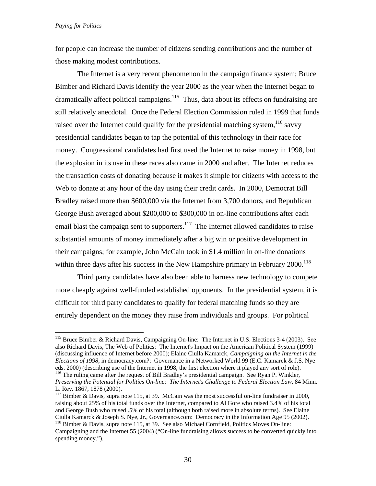$\overline{a}$ 

for people can increase the number of citizens sending contributions and the number of those making modest contributions.

The Internet is a very recent phenomenon in the campaign finance system; Bruce Bimber and Richard Davis identify the year 2000 as the year when the Internet began to dramatically affect political campaigns.<sup>115</sup> Thus, data about its effects on fundraising are still relatively anecdotal. Once the Federal Election Commission ruled in 1999 that funds raised over the Internet could qualify for the presidential matching system,  $116$  savvy presidential candidates began to tap the potential of this technology in their race for money. Congressional candidates had first used the Internet to raise money in 1998, but the explosion in its use in these races also came in 2000 and after. The Internet reduces the transaction costs of donating because it makes it simple for citizens with access to the Web to donate at any hour of the day using their credit cards. In 2000, Democrat Bill Bradley raised more than \$600,000 via the Internet from 3,700 donors, and Republican George Bush averaged about \$200,000 to \$300,000 in on-line contributions after each email blast the campaign sent to supporters.<sup>117</sup> The Internet allowed candidates to raise substantial amounts of money immediately after a big win or positive development in their campaigns; for example, John McCain took in \$1.4 million in on-line donations within three days after his success in the New Hampshire primary in February  $2000$ <sup>118</sup>

Third party candidates have also been able to harness new technology to compete more cheaply against well-funded established opponents. In the presidential system, it is difficult for third party candidates to qualify for federal matching funds so they are entirely dependent on the money they raise from individuals and groups. For political

<sup>&</sup>lt;sup>115</sup> Bruce Bimber & Richard Davis, Campaigning On-line: The Internet in U.S. Elections 3-4 (2003). See also Richard Davis, The Web of Politics: The Internet's Impact on the American Political System (1999) (discussing influence of Internet before 2000); Elaine Ciulla Kamarck, *Campaigning on the Internet in the Elections of 1998*, in democracy.com?: Governance in a Networked World 99 (E.C. Kamarck & J.S. Nye eds. 2000) (describing use of the Internet in 1998, the first election where it played any sort of role).<br><sup>116</sup> The ruling came after the request of Bill Bradley's presidential campaign. See Ryan P. Winkler,

*Preserving the Potential for Politics On-line: The Internet's Challenge to Federal Election Law*, 84 Minn. L. Rev. 1867, 1878 (2000).

 $117$  Bimber & Davis, supra note 115, at 39. McCain was the most successful on-line fundraiser in 2000, raising about 25% of his total funds over the Internet, compared to Al Gore who raised 3.4% of his total and George Bush who raised .5% of his total (although both raised more in absolute terms). See Elaine Ciulla Kamarck & Joseph S. Nye, Jr., Governance.com: Democracy in the Information Age 95 (2002). 118 Bimber & Davis, supra note 115, at 39. See also Michael Cornfield, Politics Moves On-line:

Campaigning and the Internet 55 (2004) ("On-line fundraising allows success to be converted quickly into spending money.").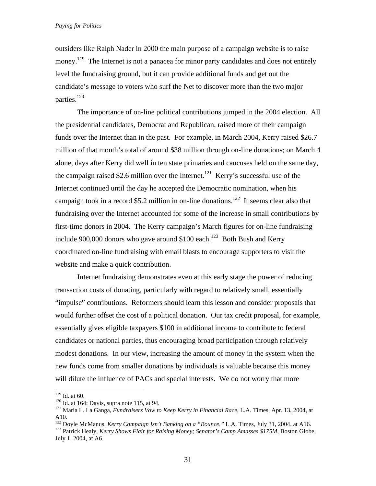outsiders like Ralph Nader in 2000 the main purpose of a campaign website is to raise money.<sup>119</sup> The Internet is not a panacea for minor party candidates and does not entirely level the fundraising ground, but it can provide additional funds and get out the candidate's message to voters who surf the Net to discover more than the two major parties.<sup>120</sup>

The importance of on-line political contributions jumped in the 2004 election. All the presidential candidates, Democrat and Republican, raised more of their campaign funds over the Internet than in the past. For example, in March 2004, Kerry raised \$26.7 million of that month's total of around \$38 million through on-line donations; on March 4 alone, days after Kerry did well in ten state primaries and caucuses held on the same day, the campaign raised \$2.6 million over the Internet.<sup>121</sup> Kerry's successful use of the Internet continued until the day he accepted the Democratic nomination, when his campaign took in a record \$5.2 million in on-line donations.<sup>122</sup> It seems clear also that fundraising over the Internet accounted for some of the increase in small contributions by first-time donors in 2004. The Kerry campaign's March figures for on-line fundraising include 900,000 donors who gave around \$100 each.<sup>123</sup> Both Bush and Kerry coordinated on-line fundraising with email blasts to encourage supporters to visit the website and make a quick contribution.

Internet fundraising demonstrates even at this early stage the power of reducing transaction costs of donating, particularly with regard to relatively small, essentially "impulse" contributions. Reformers should learn this lesson and consider proposals that would further offset the cost of a political donation. Our tax credit proposal, for example, essentially gives eligible taxpayers \$100 in additional income to contribute to federal candidates or national parties, thus encouraging broad participation through relatively modest donations. In our view, increasing the amount of money in the system when the new funds come from smaller donations by individuals is valuable because this money will dilute the influence of PACs and special interests. We do not worry that more

 $119$  Id. at 60.

<sup>&</sup>lt;sup>120</sup> Id. at 164; Davis, supra note 115, at 94.<br><sup>121</sup> Maria L. La Ganga, *Fundraisers Vow to Keep Kerry in Financial Race*, L.A. Times, Apr. 13, 2004, at A10.

<sup>&</sup>lt;sup>122</sup> Doyle McManus, *Kerry Campaign Isn't Banking on a "Bounce*," L.A. Times, July 31, 2004, at A16.<br><sup>123</sup> Patrick Healy, *Kerry Shows Flair for Raising Money; Senator's Camp Amasses \$175M*, Boston Globe,

July 1, 2004, at A6.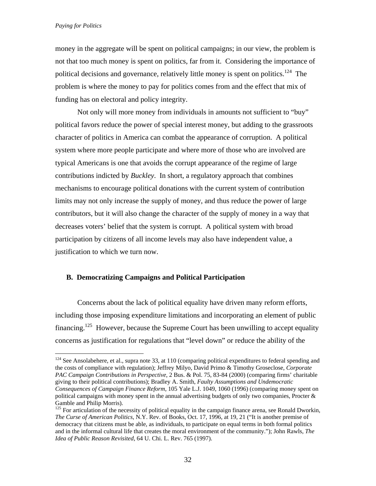$\overline{a}$ 

money in the aggregate will be spent on political campaigns; in our view, the problem is not that too much money is spent on politics, far from it. Considering the importance of political decisions and governance, relatively little money is spent on politics.<sup>124</sup> The problem is where the money to pay for politics comes from and the effect that mix of funding has on electoral and policy integrity.

Not only will more money from individuals in amounts not sufficient to "buy" political favors reduce the power of special interest money, but adding to the grassroots character of politics in America can combat the appearance of corruption. A political system where more people participate and where more of those who are involved are typical Americans is one that avoids the corrupt appearance of the regime of large contributions indicted by *Buckley*. In short, a regulatory approach that combines mechanisms to encourage political donations with the current system of contribution limits may not only increase the supply of money, and thus reduce the power of large contributors, but it will also change the character of the supply of money in a way that decreases voters' belief that the system is corrupt. A political system with broad participation by citizens of all income levels may also have independent value, a justification to which we turn now.

# **B. Democratizing Campaigns and Political Participation**

Concerns about the lack of political equality have driven many reform efforts, including those imposing expenditure limitations and incorporating an element of public financing.<sup>125</sup> However, because the Supreme Court has been unwilling to accept equality concerns as justification for regulations that "level down" or reduce the ability of the

 $124$  See Ansolabehere, et al., supra note 33, at 110 (comparing political expenditures to federal spending and the costs of compliance with regulation); Jeffrey Milyo, David Primo & Timothy Groseclose, *Corporate PAC Campaign Contributions in Perspective*, 2 Bus. & Pol. 75, 83-84 (2000) (comparing firms' charitable giving to their political contributions); Bradley A. Smith, *Faulty Assumptions and Undemocratic Consequences of Campaign Finance Reform,* 105 Yale L.J. 1049, 1060 (1996) (comparing money spent on political campaigns with money spent in the annual advertising budgets of only two companies, Procter  $\&$ Gamble and Philip Morris).

<sup>&</sup>lt;sup>125</sup> For articulation of the necessity of political equality in the campaign finance arena, see Ronald Dworkin, *The Curse of American Politics*, N.Y. Rev. of Books, Oct. 17, 1996, at 19, 21 ("It is another premise of democracy that citizens must be able, as individuals, to participate on equal terms in both formal politics and in the informal cultural life that creates the moral environment of the community."); John Rawls, *The Idea of Public Reason Revisited*, 64 U. Chi. L. Rev. 765 (1997).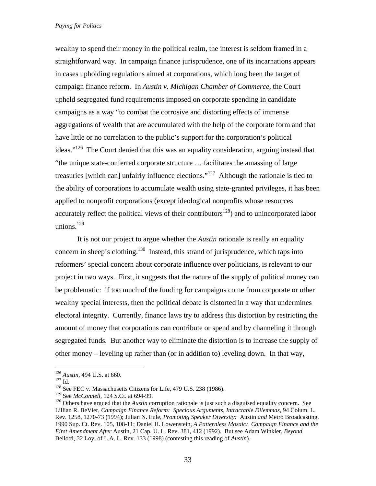wealthy to spend their money in the political realm, the interest is seldom framed in a straightforward way. In campaign finance jurisprudence, one of its incarnations appears in cases upholding regulations aimed at corporations, which long been the target of campaign finance reform. In *Austin v. Michigan Chamber of Commerce*, the Court upheld segregated fund requirements imposed on corporate spending in candidate campaigns as a way "to combat the corrosive and distorting effects of immense aggregations of wealth that are accumulated with the help of the corporate form and that have little or no correlation to the public's support for the corporation's political ideas."<sup>126</sup> The Court denied that this was an equality consideration, arguing instead that "the unique state-conferred corporate structure … facilitates the amassing of large treasuries [which can] unfairly influence elections."127 Although the rationale is tied to the ability of corporations to accumulate wealth using state-granted privileges, it has been applied to nonprofit corporations (except ideological nonprofits whose resources accurately reflect the political views of their contributors<sup>128</sup>) and to unincorporated labor unions. $129$ 

It is not our project to argue whether the *Austin* rationale is really an equality concern in sheep's clothing.<sup>130</sup> Instead, this strand of jurisprudence, which taps into reformers' special concern about corporate influence over politicians, is relevant to our project in two ways. First, it suggests that the nature of the supply of political money can be problematic: if too much of the funding for campaigns come from corporate or other wealthy special interests, then the political debate is distorted in a way that undermines electoral integrity. Currently, finance laws try to address this distortion by restricting the amount of money that corporations can contribute or spend and by channeling it through segregated funds. But another way to eliminate the distortion is to increase the supply of other money – leveling up rather than (or in addition to) leveling down. In that way,

1

<sup>&</sup>lt;sup>126</sup> *Austin*, 494 U.S. at 660.<br><sup>127</sup> Id. <sup>128</sup> See FEC v. Massachusetts Citizens for Life, 479 U.S. 238 (1986).<br><sup>129</sup> See *McConnell*, 124 S.Ct. at 694-99.

<sup>&</sup>lt;sup>130</sup> Others have argued that the *Austin* corruption rationale is just such a disguised equality concern. See Lillian R. BeVier, *Campaign Finance Reform: Specious Arguments, Intractable Dilemmas*, 94 Colum. L. Rev. 1258, 1270-73 (1994); Julian N. Eule, *Promoting Speaker Diversity:* Austin *and* Metro Broadcasting, 1990 Sup. Ct. Rev. 105, 108-11; Daniel H. Lowenstein, *A Patternless Mosaic: Campaign Finance and the First Amendment After* Austin, 21 Cap. U. L. Rev. 381, 412 (1992). But see Adam Winkler, *Beyond*  Bellotti, 32 Loy. of L.A. L. Rev. 133 (1998) (contesting this reading of *Austin*).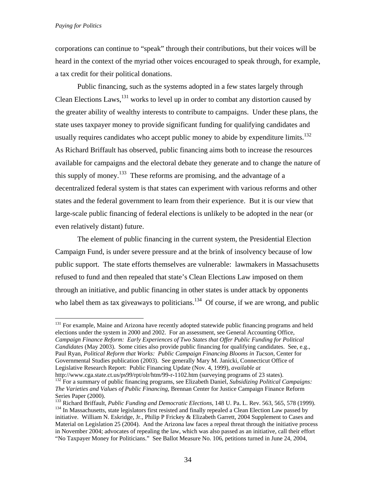$\overline{a}$ 

corporations can continue to "speak" through their contributions, but their voices will be heard in the context of the myriad other voices encouraged to speak through, for example, a tax credit for their political donations.

Public financing, such as the systems adopted in a few states largely through Clean Elections Laws,  $^{131}$  works to level up in order to combat any distortion caused by the greater ability of wealthy interests to contribute to campaigns. Under these plans, the state uses taxpayer money to provide significant funding for qualifying candidates and usually requires candidates who accept public money to abide by expenditure limits.<sup>132</sup> As Richard Briffault has observed, public financing aims both to increase the resources available for campaigns and the electoral debate they generate and to change the nature of this supply of money.<sup>133</sup> These reforms are promising, and the advantage of a decentralized federal system is that states can experiment with various reforms and other states and the federal government to learn from their experience. But it is our view that large-scale public financing of federal elections is unlikely to be adopted in the near (or even relatively distant) future.

The element of public financing in the current system, the Presidential Election Campaign Fund, is under severe pressure and at the brink of insolvency because of low public support. The state efforts themselves are vulnerable: lawmakers in Massachusetts refused to fund and then repealed that state's Clean Elections Law imposed on them through an initiative, and public financing in other states is under attack by opponents who label them as tax giveaways to politicians.<sup>134</sup> Of course, if we are wrong, and public

<sup>&</sup>lt;sup>131</sup> For example, Maine and Arizona have recently adopted statewide public financing programs and held elections under the system in 2000 and 2002. For an assessment, see General Accounting Office, *Campaign Finance Reform: Early Experiences of Two States that Offer Public Funding for Political Candidates* (May 2003). Some cities also provide public financing for qualifying candidates. See, e.g., Paul Ryan, *Political Reform that Works: Public Campaign Financing Blooms in Tucson*, Center for Governmental Studies publication (2003). See generally Mary M. Janicki, Connecticut Office of Legislative Research Report: Public Financing Update (Nov. 4, 1999), *available at* 

<sup>&</sup>lt;sup>132</sup> For a summary of public financing programs, see Elizabeth Daniel, *Subsidizing Political Campaigns: The Varieties and Values of Public Financing*, Brennan Center for Justice Campaign Finance Reform Series Paper (2000).<br><sup>133</sup> Richard Briffault, *Public Funding and Democratic Elections*, 148 U. Pa. L. Rev. 563, 565, 578 (1999).

<sup>&</sup>lt;sup>134</sup> In Massachusetts, state legislators first resisted and finally repealed a Clean Election Law passed by initiative. William N. Eskridge, Jr., Philip P Frickey & Elizabeth Garrett, 2004 Supplement to Cases and Material on Legislation 25 (2004). And the Arizona law faces a repeal threat through the initiative process in November 2004; advocates of repealing the law, which was also passed as an initiative, call their effort "No Taxpayer Money for Politicians." See Ballot Measure No. 106, petitions turned in June 24, 2004,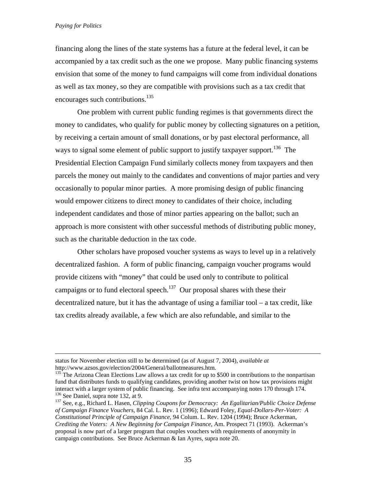financing along the lines of the state systems has a future at the federal level, it can be accompanied by a tax credit such as the one we propose. Many public financing systems envision that some of the money to fund campaigns will come from individual donations as well as tax money, so they are compatible with provisions such as a tax credit that encourages such contributions.<sup>135</sup>

One problem with current public funding regimes is that governments direct the money to candidates, who qualify for public money by collecting signatures on a petition, by receiving a certain amount of small donations, or by past electoral performance, all ways to signal some element of public support to justify taxpayer support.<sup>136</sup> The Presidential Election Campaign Fund similarly collects money from taxpayers and then parcels the money out mainly to the candidates and conventions of major parties and very occasionally to popular minor parties. A more promising design of public financing would empower citizens to direct money to candidates of their choice, including independent candidates and those of minor parties appearing on the ballot; such an approach is more consistent with other successful methods of distributing public money, such as the charitable deduction in the tax code.

Other scholars have proposed voucher systems as ways to level up in a relatively decentralized fashion. A form of public financing, campaign voucher programs would provide citizens with "money" that could be used only to contribute to political campaigns or to fund electoral speech.<sup>137</sup> Our proposal shares with these their decentralized nature, but it has the advantage of using a familiar tool – a tax credit, like tax credits already available, a few which are also refundable, and similar to the

status for November election still to be determined (as of August 7, 2004), *available at*  http://www.azsos.gov/election/2004/General/ballotmeasures.htm.

<sup>&</sup>lt;sup>135</sup> The Arizona Clean Elections Law allows a tax credit for up to \$500 in contributions to the nonpartisan fund that distributes funds to qualifying candidates, providing another twist on how tax provisions might interact with a larger system of public financing. See infra text accompanying notes 170 through 174.<br><sup>136</sup> See Daniel, supra note 132, at 9.<br><sup>137</sup> See, e.g., Richard L. Hasen, *Clipping Coupons for Democracy: An Egalitari* 

*of Campaign Finance Vouchers*, 84 Cal. L. Rev. 1 (1996); Edward Foley, *Equal-Dollars-Per-Voter: A Constitutional Principle of Campaign Finance*, 94 Colum. L. Rev. 1204 (1994); Bruce Ackerman, *Crediting the Voters: A New Beginning for Campaign Finance*, Am. Prospect 71 (1993). Ackerman's proposal is now part of a larger program that couples vouchers with requirements of anonymity in campaign contributions. See Bruce Ackerman & Ian Ayres, supra note 20.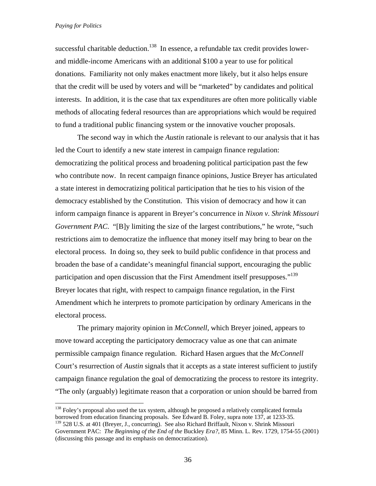1

successful charitable deduction.<sup>138</sup> In essence, a refundable tax credit provides lowerand middle-income Americans with an additional \$100 a year to use for political donations. Familiarity not only makes enactment more likely, but it also helps ensure that the credit will be used by voters and will be "marketed" by candidates and political interests. In addition, it is the case that tax expenditures are often more politically viable methods of allocating federal resources than are appropriations which would be required to fund a traditional public financing system or the innovative voucher proposals.

The second way in which the *Austin* rationale is relevant to our analysis that it has led the Court to identify a new state interest in campaign finance regulation: democratizing the political process and broadening political participation past the few who contribute now. In recent campaign finance opinions, Justice Breyer has articulated a state interest in democratizing political participation that he ties to his vision of the democracy established by the Constitution. This vision of democracy and how it can inform campaign finance is apparent in Breyer's concurrence in *Nixon v. Shrink Missouri Government PAC*. "[B]y limiting the size of the largest contributions," he wrote, "such restrictions aim to democratize the influence that money itself may bring to bear on the electoral process. In doing so, they seek to build public confidence in that process and broaden the base of a candidate's meaningful financial support, encouraging the public participation and open discussion that the First Amendment itself presupposes."<sup>139</sup> Breyer locates that right, with respect to campaign finance regulation, in the First Amendment which he interprets to promote participation by ordinary Americans in the electoral process.

The primary majority opinion in *McConnell*, which Breyer joined, appears to move toward accepting the participatory democracy value as one that can animate permissible campaign finance regulation. Richard Hasen argues that the *McConnell* Court's resurrection of *Austin* signals that it accepts as a state interest sufficient to justify campaign finance regulation the goal of democratizing the process to restore its integrity. "The only (arguably) legitimate reason that a corporation or union should be barred from

<sup>&</sup>lt;sup>138</sup> Foley's proposal also used the tax system, although he proposed a relatively complicated formula borrowed from education financing proposals. See Edward B. Foley, supra note 137, at 1233-35. <sup>139</sup> 528 U.S. at 401 (Breyer, J., concurring). See also Richard Briffault, Nixon v. Shrink Missouri

Government PAC: *The Beginning of the End of the* Buckley *Era?*, 85 Minn. L. Rev. 1729, 1754-55 (2001) (discussing this passage and its emphasis on democratization).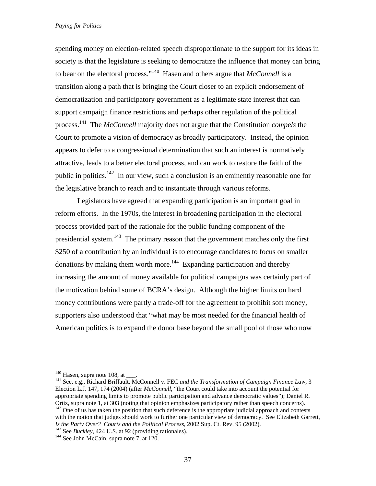spending money on election-related speech disproportionate to the support for its ideas in society is that the legislature is seeking to democratize the influence that money can bring to bear on the electoral process."<sup>140</sup> Hasen and others argue that  $\textit{McConnell}$  is a transition along a path that is bringing the Court closer to an explicit endorsement of democratization and participatory government as a legitimate state interest that can support campaign finance restrictions and perhaps other regulation of the political process.141 The *McConnell* majority does not argue that the Constitution *compels* the Court to promote a vision of democracy as broadly participatory. Instead, the opinion appears to defer to a congressional determination that such an interest is normatively attractive, leads to a better electoral process, and can work to restore the faith of the public in politics.142 In our view, such a conclusion is an eminently reasonable one for the legislative branch to reach and to instantiate through various reforms.

Legislators have agreed that expanding participation is an important goal in reform efforts. In the 1970s, the interest in broadening participation in the electoral process provided part of the rationale for the public funding component of the presidential system.143 The primary reason that the government matches only the first \$250 of a contribution by an individual is to encourage candidates to focus on smaller donations by making them worth more.<sup>144</sup> Expanding participation and thereby increasing the amount of money available for political campaigns was certainly part of the motivation behind some of BCRA's design. Although the higher limits on hard money contributions were partly a trade-off for the agreement to prohibit soft money, supporters also understood that "what may be most needed for the financial health of American politics is to expand the donor base beyond the small pool of those who now

1

<sup>&</sup>lt;sup>140</sup> Hasen, supra note 108, at \_\_\_.<br><sup>141</sup> See, e.g., Richard Briffault, McConnell v. FEC *and the Transformation of Campaign Finance Law*, 3 Election L.J. 147, 174 (2004) (after *McConnell*, "the Court could take into account the potential for appropriate spending limits to promote public participation and advance democratic values"); Daniel R. Ortiz, supra note 1, at 303 (noting that opinion emphasizes participatory rather than speech concerns). <sup>142</sup> One of us has taken the position that such deference is the appropriate judicial approach and contests with the notion that judges should work to further one particular view of democracy. See Elizabeth Garrett, *Is the Party Over? Courts and the Political Process*, 2002 Sup. Ct. Rev. 95 (2002). 143 See *Buckley*, 424 U.S. at 92 (providing rationales). 144 See John McCain, supra note 7, at 120.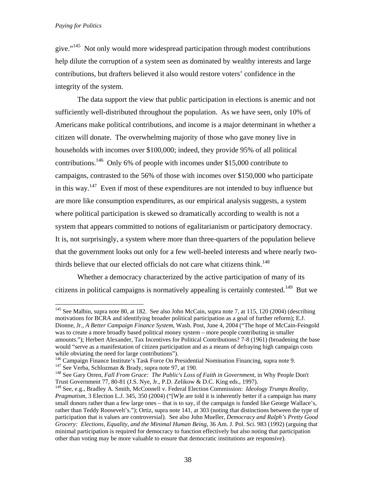1

give."145 Not only would more widespread participation through modest contributions help dilute the corruption of a system seen as dominated by wealthy interests and large contributions, but drafters believed it also would restore voters' confidence in the integrity of the system.

The data support the view that public participation in elections is anemic and not sufficiently well-distributed throughout the population. As we have seen, only 10% of Americans make political contributions, and income is a major determinant in whether a citizen will donate. The overwhelming majority of those who gave money live in households with incomes over \$100,000; indeed, they provide 95% of all political contributions.<sup>146</sup> Only 6% of people with incomes under \$15,000 contribute to campaigns, contrasted to the 56% of those with incomes over \$150,000 who participate in this way.<sup>147</sup> Even if most of these expenditures are not intended to buy influence but are more like consumption expenditures, as our empirical analysis suggests, a system where political participation is skewed so dramatically according to wealth is not a system that appears committed to notions of egalitarianism or participatory democracy. It is, not surprisingly, a system where more than three-quarters of the population believe that the government looks out only for a few well-heeled interests and where nearly twothirds believe that our elected officials do not care what citizens think.<sup>148</sup>

Whether a democracy characterized by the active participation of many of its citizens in political campaigns is normatively appealing is certainly contested.<sup>149</sup> But we

<sup>&</sup>lt;sup>145</sup> See Malbin, supra note 80, at 182. See also John McCain, supra note 7, at 115, 120 (2004) (describing motivations for BCRA and identifying broader political participation as a goal of further reform); E.J. Dionne, Jr., *A Better Campaign Finance System*, Wash. Post, June 4, 2004 ("The hope of McCain-Feingold was to create a more broadly based political money system – more people contributing in smaller amounts."); Herbert Alexander, Tax Incentives for Political Contributions? 7-8 (1961) (broadening the base would "serve as a manifestation of citizen participation and as a means of defraying high campaign costs while obviating the need for large contributions").<br><sup>146</sup> Campaign Finance Institute's Task Force On Presidential Nomination Financing, supra note 9.

<sup>&</sup>lt;sup>147</sup> See Verba, Schlozman & Brady, supra note 97, at 190.<br><sup>148</sup> See Gary Orren, *Fall From Grace: The Public's Loss of Faith in Government*, in Why People Don't

Trust Government 77, 80-81 (J.S. Nye, Jr., P.D. Zelikow & D.C. King eds., 1997).

<sup>149</sup> See, e.g., Bradley A. Smith, McConnell v. Federal Election Commission: *Ideology Trumps Reality, Pragmatism*, 3 Election L.J. 345, 350 (2004) ("[W]e are told it is inherently better if a campaign has many small donors rather than a few large ones – that is to say, if the campaign is funded like George Wallace's, rather than Teddy Roosevelt's."); Ortiz, supra note 141, at 303 (noting that distinctions between the type of participation that is values are controversial). See also John Mueller, *Democracy and Ralph's Pretty Good Grocery: Elections, Equality, and the Minimal Human Being*, 36 Am. J. Pol. Sci. 983 (1992) (arguing that minimal participation is required for democracy to function effectively but also noting that participation other than voting may be more valuable to ensure that democratic institutions are responsive).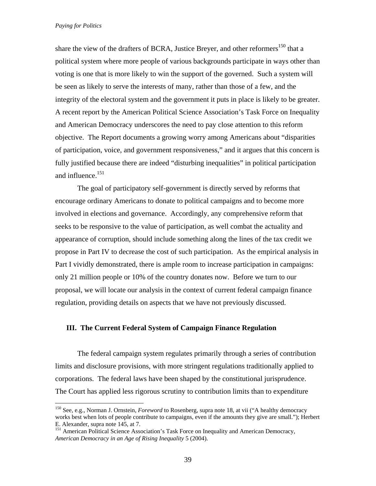1

share the view of the drafters of BCRA, Justice Breyer, and other reformers<sup>150</sup> that a political system where more people of various backgrounds participate in ways other than voting is one that is more likely to win the support of the governed. Such a system will be seen as likely to serve the interests of many, rather than those of a few, and the integrity of the electoral system and the government it puts in place is likely to be greater. A recent report by the American Political Science Association's Task Force on Inequality and American Democracy underscores the need to pay close attention to this reform objective. The Report documents a growing worry among Americans about "disparities of participation, voice, and government responsiveness," and it argues that this concern is fully justified because there are indeed "disturbing inequalities" in political participation and influence.151

The goal of participatory self-government is directly served by reforms that encourage ordinary Americans to donate to political campaigns and to become more involved in elections and governance. Accordingly, any comprehensive reform that seeks to be responsive to the value of participation, as well combat the actuality and appearance of corruption, should include something along the lines of the tax credit we propose in Part IV to decrease the cost of such participation. As the empirical analysis in Part I vividly demonstrated, there is ample room to increase participation in campaigns: only 21 million people or 10% of the country donates now. Before we turn to our proposal, we will locate our analysis in the context of current federal campaign finance regulation, providing details on aspects that we have not previously discussed.

# **III. The Current Federal System of Campaign Finance Regulation**

The federal campaign system regulates primarily through a series of contribution limits and disclosure provisions, with more stringent regulations traditionally applied to corporations. The federal laws have been shaped by the constitutional jurisprudence. The Court has applied less rigorous scrutiny to contribution limits than to expenditure

<sup>150</sup> See, e.g., Norman J. Ornstein, *Foreword* to Rosenberg, supra note 18, at vii ("A healthy democracy works best when lots of people contribute to campaigns, even if the amounts they give are small."); Herbert E. Alexander, supra note 145, at 7.

<sup>&</sup>lt;sup>151</sup> American Political Science Association's Task Force on Inequality and American Democracy, *American Democracy in an Age of Rising Inequality* 5 (2004).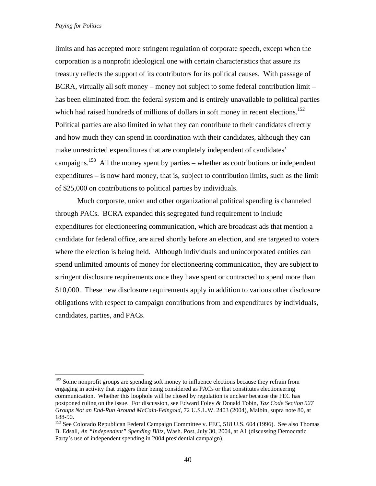$\overline{a}$ 

limits and has accepted more stringent regulation of corporate speech, except when the corporation is a nonprofit ideological one with certain characteristics that assure its treasury reflects the support of its contributors for its political causes. With passage of BCRA, virtually all soft money – money not subject to some federal contribution limit – has been eliminated from the federal system and is entirely unavailable to political parties which had raised hundreds of millions of dollars in soft money in recent elections.<sup>152</sup> Political parties are also limited in what they can contribute to their candidates directly and how much they can spend in coordination with their candidates, although they can make unrestricted expenditures that are completely independent of candidates' campaigns.<sup>153</sup> All the money spent by parties – whether as contributions or independent expenditures – is now hard money, that is, subject to contribution limits, such as the limit of \$25,000 on contributions to political parties by individuals.

Much corporate, union and other organizational political spending is channeled through PACs. BCRA expanded this segregated fund requirement to include expenditures for electioneering communication, which are broadcast ads that mention a candidate for federal office, are aired shortly before an election, and are targeted to voters where the election is being held. Although individuals and unincorporated entities can spend unlimited amounts of money for electioneering communication, they are subject to stringent disclosure requirements once they have spent or contracted to spend more than \$10,000. These new disclosure requirements apply in addition to various other disclosure obligations with respect to campaign contributions from and expenditures by individuals, candidates, parties, and PACs.

<sup>&</sup>lt;sup>152</sup> Some nonprofit groups are spending soft money to influence elections because they refrain from engaging in activity that triggers their being considered as PACs or that constitutes electioneering communication. Whether this loophole will be closed by regulation is unclear because the FEC has postponed ruling on the issue. For discussion, see Edward Foley & Donald Tobin, *Tax Code Section 527 Groups Not an End-Run Around McCain-Feingold*, 72 U.S.L.W. 2403 (2004), Malbin, supra note 80, at 188-90.

<sup>&</sup>lt;sup>153</sup> See Colorado Republican Federal Campaign Committee v. FEC, 518 U.S. 604 (1996). See also Thomas B. Edsall, *An "Independent" Spending Blitz*, Wash. Post, July 30, 2004, at A1 (discussing Democratic Party's use of independent spending in 2004 presidential campaign).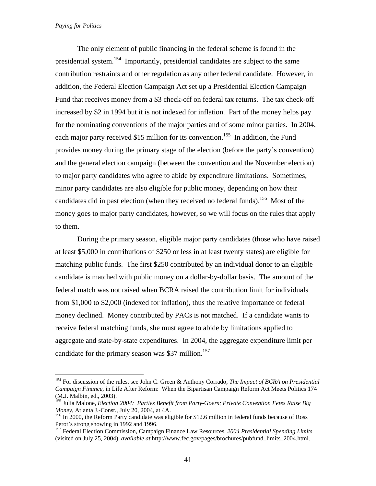$\overline{a}$ 

The only element of public financing in the federal scheme is found in the presidential system.<sup>154</sup> Importantly, presidential candidates are subject to the same contribution restraints and other regulation as any other federal candidate. However, in addition, the Federal Election Campaign Act set up a Presidential Election Campaign Fund that receives money from a \$3 check-off on federal tax returns. The tax check-off increased by \$2 in 1994 but it is not indexed for inflation. Part of the money helps pay for the nominating conventions of the major parties and of some minor parties. In 2004, each major party received \$15 million for its convention.<sup>155</sup> In addition, the Fund provides money during the primary stage of the election (before the party's convention) and the general election campaign (between the convention and the November election) to major party candidates who agree to abide by expenditure limitations. Sometimes, minor party candidates are also eligible for public money, depending on how their candidates did in past election (when they received no federal funds).<sup>156</sup> Most of the money goes to major party candidates, however, so we will focus on the rules that apply to them.

During the primary season, eligible major party candidates (those who have raised at least \$5,000 in contributions of \$250 or less in at least twenty states) are eligible for matching public funds. The first \$250 contributed by an individual donor to an eligible candidate is matched with public money on a dollar-by-dollar basis. The amount of the federal match was not raised when BCRA raised the contribution limit for individuals from \$1,000 to \$2,000 (indexed for inflation), thus the relative importance of federal money declined. Money contributed by PACs is not matched. If a candidate wants to receive federal matching funds, she must agree to abide by limitations applied to aggregate and state-by-state expenditures. In 2004, the aggregate expenditure limit per candidate for the primary season was \$37 million.<sup>157</sup>

<sup>154</sup> For discussion of the rules, see John C. Green & Anthony Corrado*, The Impact of BCRA on Presidential Campaign Finance*, in Life After Reform: When the Bipartisan Campaign Reform Act Meets Politics 174 (M.J. Malbin, ed., 2003).

<sup>155</sup> Julia Malone, *Election 2004: Parties Benefit from Party-Goers; Private Convention Fetes Raise Big Money*, Atlanta J.-Const., July 20, 2004, at 4A.<br><sup>156</sup> In 2000, the Reform Party candidate was eligible for \$12.6 million in federal funds because of Ross

Perot's strong showing in 1992 and 1996.

<sup>157</sup> Federal Election Commission, Campaign Finance Law Resources, *2004 Presidential Spending Limits* (visited on July 25, 2004), *available at* http://www.fec.gov/pages/brochures/pubfund\_limits\_2004.html.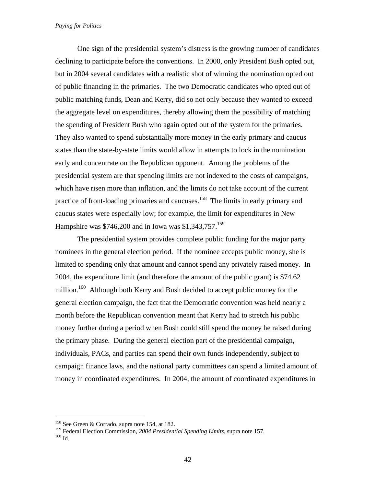One sign of the presidential system's distress is the growing number of candidates declining to participate before the conventions. In 2000, only President Bush opted out, but in 2004 several candidates with a realistic shot of winning the nomination opted out of public financing in the primaries. The two Democratic candidates who opted out of public matching funds, Dean and Kerry, did so not only because they wanted to exceed the aggregate level on expenditures, thereby allowing them the possibility of matching the spending of President Bush who again opted out of the system for the primaries. They also wanted to spend substantially more money in the early primary and caucus states than the state-by-state limits would allow in attempts to lock in the nomination early and concentrate on the Republican opponent. Among the problems of the presidential system are that spending limits are not indexed to the costs of campaigns, which have risen more than inflation, and the limits do not take account of the current practice of front-loading primaries and caucuses.<sup>158</sup> The limits in early primary and caucus states were especially low; for example, the limit for expenditures in New Hampshire was \$746,200 and in Iowa was \$1,343,757.<sup>159</sup>

The presidential system provides complete public funding for the major party nominees in the general election period. If the nominee accepts public money, she is limited to spending only that amount and cannot spend any privately raised money. In 2004, the expenditure limit (and therefore the amount of the public grant) is \$74.62 million.<sup>160</sup> Although both Kerry and Bush decided to accept public money for the general election campaign, the fact that the Democratic convention was held nearly a month before the Republican convention meant that Kerry had to stretch his public money further during a period when Bush could still spend the money he raised during the primary phase. During the general election part of the presidential campaign, individuals, PACs, and parties can spend their own funds independently, subject to campaign finance laws, and the national party committees can spend a limited amount of money in coordinated expenditures. In 2004, the amount of coordinated expenditures in

<sup>158</sup> See Green & Corrado, supra note 154, at 182.

<sup>&</sup>lt;sup>159</sup> Federal Election Commission, *2004 Presidential Spending Limits*, supra note 157.<br><sup>160</sup> Id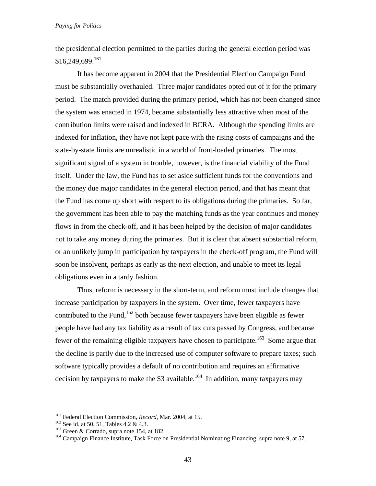the presidential election permitted to the parties during the general election period was  $$16,249,699$ <sup>161</sup>

It has become apparent in 2004 that the Presidential Election Campaign Fund must be substantially overhauled. Three major candidates opted out of it for the primary period. The match provided during the primary period, which has not been changed since the system was enacted in 1974, became substantially less attractive when most of the contribution limits were raised and indexed in BCRA. Although the spending limits are indexed for inflation, they have not kept pace with the rising costs of campaigns and the state-by-state limits are unrealistic in a world of front-loaded primaries. The most significant signal of a system in trouble, however, is the financial viability of the Fund itself. Under the law, the Fund has to set aside sufficient funds for the conventions and the money due major candidates in the general election period, and that has meant that the Fund has come up short with respect to its obligations during the primaries. So far, the government has been able to pay the matching funds as the year continues and money flows in from the check-off, and it has been helped by the decision of major candidates not to take any money during the primaries. But it is clear that absent substantial reform, or an unlikely jump in participation by taxpayers in the check-off program, the Fund will soon be insolvent, perhaps as early as the next election, and unable to meet its legal obligations even in a tardy fashion.

Thus, reform is necessary in the short-term, and reform must include changes that increase participation by taxpayers in the system. Over time, fewer taxpayers have contributed to the Fund,<sup>162</sup> both because fewer taxpayers have been eligible as fewer people have had any tax liability as a result of tax cuts passed by Congress, and because fewer of the remaining eligible taxpayers have chosen to participate.<sup>163</sup> Some argue that the decline is partly due to the increased use of computer software to prepare taxes; such software typically provides a default of no contribution and requires an affirmative decision by taxpayers to make the \$3 available.<sup>164</sup> In addition, many taxpayers may

<sup>&</sup>lt;sup>161</sup> Federal Election Commission, *Record*, Mar. 2004, at 15.<br><sup>162</sup> See id. at 50, 51, Tables 4.2 & 4.3.<br><sup>163</sup> Green & Corrado, supra note 154, at 182.<br><sup>164</sup> Campaign Finance Institute, Task Force on Presidential Nominat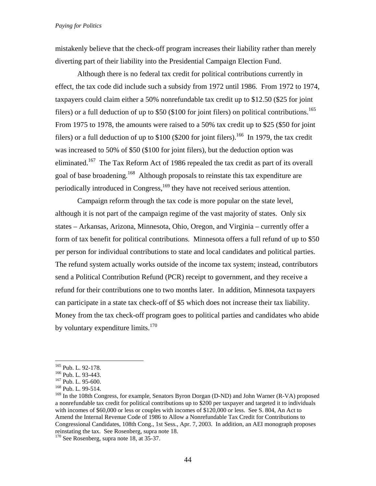mistakenly believe that the check-off program increases their liability rather than merely diverting part of their liability into the Presidential Campaign Election Fund.

Although there is no federal tax credit for political contributions currently in effect, the tax code did include such a subsidy from 1972 until 1986. From 1972 to 1974, taxpayers could claim either a 50% nonrefundable tax credit up to \$12.50 (\$25 for joint filers) or a full deduction of up to  $$50$  (\$100 for joint filers) on political contributions.<sup>165</sup> From 1975 to 1978, the amounts were raised to a 50% tax credit up to \$25 (\$50 for joint filers) or a full deduction of up to  $$100$  ( $$200$  for joint filers).<sup>166</sup> In 1979, the tax credit was increased to 50% of \$50 (\$100 for joint filers), but the deduction option was eliminated.<sup>167</sup> The Tax Reform Act of 1986 repealed the tax credit as part of its overall goal of base broadening.<sup>168</sup> Although proposals to reinstate this tax expenditure are periodically introduced in Congress,<sup>169</sup> they have not received serious attention.

Campaign reform through the tax code is more popular on the state level, although it is not part of the campaign regime of the vast majority of states. Only six states – Arkansas, Arizona, Minnesota, Ohio, Oregon, and Virginia – currently offer a form of tax benefit for political contributions. Minnesota offers a full refund of up to \$50 per person for individual contributions to state and local candidates and political parties. The refund system actually works outside of the income tax system; instead, contributors send a Political Contribution Refund (PCR) receipt to government, and they receive a refund for their contributions one to two months later. In addition, Minnesota taxpayers can participate in a state tax check-off of \$5 which does not increase their tax liability. Money from the tax check-off program goes to political parties and candidates who abide by voluntary expenditure limits. $170$ 

1

<sup>&</sup>lt;sup>165</sup> Pub. L. 92-178.<br><sup>166</sup> Pub. L. 93-443.<br><sup>167</sup> Pub. L. 95-600.<br><sup>168</sup> Pub. L. 99-514.

<sup>&</sup>lt;sup>169</sup> In the 108th Congress, for example, Senators Byron Dorgan (D-ND) and John Warner (R-VA) proposed a nonrefundable tax credit for political contributions up to \$200 per taxpayer and targeted it to individuals with incomes of \$60,000 or less or couples with incomes of \$120,000 or less. See S. 804, An Act to Amend the Internal Revenue Code of 1986 to Allow a Nonrefundable Tax Credit for Contributions to Congressional Candidates, 108th Cong., 1st Sess., Apr. 7, 2003. In addition, an AEI monograph proposes reinstating the tax. See Rosenberg, supra note 18.

<sup>&</sup>lt;sup>170</sup> See Rosenberg, supra note 18, at 35-37.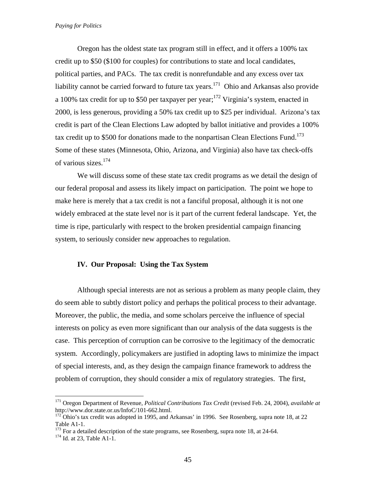Oregon has the oldest state tax program still in effect, and it offers a 100% tax credit up to \$50 (\$100 for couples) for contributions to state and local candidates, political parties, and PACs. The tax credit is nonrefundable and any excess over tax liability cannot be carried forward to future tax years.<sup>171</sup> Ohio and Arkansas also provide a 100% tax credit for up to \$50 per taxpayer per year;  $172$  Virginia's system, enacted in 2000, is less generous, providing a 50% tax credit up to \$25 per individual. Arizona's tax credit is part of the Clean Elections Law adopted by ballot initiative and provides a 100% tax credit up to \$500 for donations made to the nonpartisan Clean Elections Fund.<sup>173</sup> Some of these states (Minnesota, Ohio, Arizona, and Virginia) also have tax check-offs of various sizes.<sup>174</sup>

We will discuss some of these state tax credit programs as we detail the design of our federal proposal and assess its likely impact on participation. The point we hope to make here is merely that a tax credit is not a fanciful proposal, although it is not one widely embraced at the state level nor is it part of the current federal landscape. Yet, the time is ripe, particularly with respect to the broken presidential campaign financing system, to seriously consider new approaches to regulation.

# **IV. Our Proposal: Using the Tax System**

 Although special interests are not as serious a problem as many people claim, they do seem able to subtly distort policy and perhaps the political process to their advantage. Moreover, the public, the media, and some scholars perceive the influence of special interests on policy as even more significant than our analysis of the data suggests is the case. This perception of corruption can be corrosive to the legitimacy of the democratic system. Accordingly, policymakers are justified in adopting laws to minimize the impact of special interests, and, as they design the campaign finance framework to address the problem of corruption, they should consider a mix of regulatory strategies. The first,

1

<sup>171</sup> Oregon Department of Revenue, *Political Contributions Tax Credit* (revised Feb. 24, 2004), *available at*  http://www.dor.state.or.us/InfoC/101-662.html.<br><sup>172</sup> Ohio's tax credit was adopted in 1995, and Arkansas' in 1996. See Rosenberg, supra note 18, at 22

Table A1-1.

<sup>&</sup>lt;sup>173</sup> For a detailed description of the state programs, see Rosenberg, supra note 18, at 24-64. <sup>174</sup> Id. at 23, Table A1-1.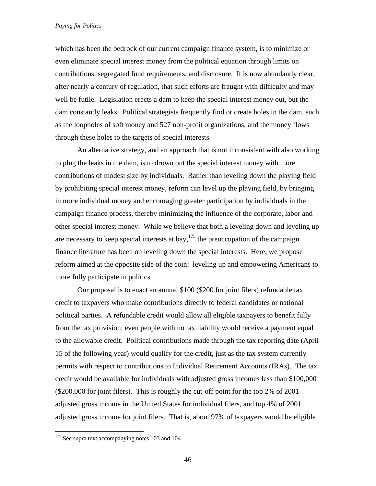which has been the bedrock of our current campaign finance system, is to minimize or even eliminate special interest money from the political equation through limits on contributions, segregated fund requirements, and disclosure. It is now abundantly clear, after nearly a century of regulation, that such efforts are fraught with difficulty and may well be futile. Legislation erects a dam to keep the special interest money out, but the dam constantly leaks. Political strategists frequently find or create holes in the dam, such as the loopholes of soft money and 527 non-profit organizations, and the money flows through these holes to the targets of special interests.

 An alternative strategy, and an approach that is not inconsistent with also working to plug the leaks in the dam, is to drown out the special interest money with more contributions of modest size by individuals. Rather than leveling down the playing field by prohibiting special interest money, reform can level up the playing field, by bringing in more individual money and encouraging greater participation by individuals in the campaign finance process, thereby minimizing the influence of the corporate, labor and other special interest money. While we believe that both a leveling down and leveling up are necessary to keep special interests at bay,  $175$  the preoccupation of the campaign finance literature has been on leveling down the special interests. Here, we propose reform aimed at the opposite side of the coin: leveling up and empowering Americans to more fully participate in politics.

Our proposal is to enact an annual \$100 (\$200 for joint filers) refundable tax credit to taxpayers who make contributions directly to federal candidates or national political parties. A refundable credit would allow all eligible taxpayers to benefit fully from the tax provision; even people with no tax liability would receive a payment equal to the allowable credit. Political contributions made through the tax reporting date (April 15 of the following year) would qualify for the credit, just as the tax system currently permits with respect to contributions to Individual Retirement Accounts (IRAs). The tax credit would be available for individuals with adjusted gross incomes less than \$100,000 (\$200,000 for joint filers). This is roughly the cut-off point for the top 2% of 2001 adjusted gross income in the United States for individual filers, and top 4% of 2001 adjusted gross income for joint filers. That is, about 97% of taxpayers would be eligible

 $175$  See supra text accompanying notes 103 and 104.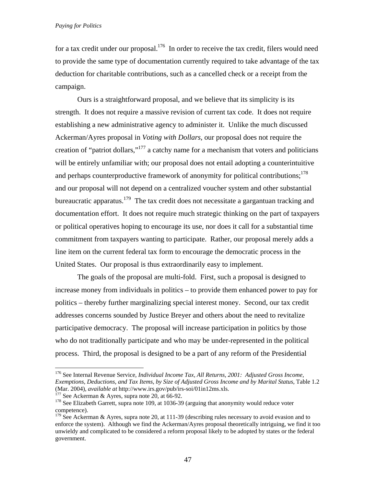for a tax credit under our proposal.<sup>176</sup> In order to receive the tax credit, filers would need to provide the same type of documentation currently required to take advantage of the tax deduction for charitable contributions, such as a cancelled check or a receipt from the campaign.

Ours is a straightforward proposal, and we believe that its simplicity is its strength. It does not require a massive revision of current tax code. It does not require establishing a new administrative agency to administer it. Unlike the much discussed Ackerman/Ayres proposal in *Voting with Dollars,* our proposal does not require the creation of "patriot dollars,"<sup>177</sup> a catchy name for a mechanism that voters and politicians will be entirely unfamiliar with; our proposal does not entail adopting a counterintuitive and perhaps counterproductive framework of anonymity for political contributions;<sup>178</sup> and our proposal will not depend on a centralized voucher system and other substantial bureaucratic apparatus.<sup>179</sup> The tax credit does not necessitate a gargantuan tracking and documentation effort. It does not require much strategic thinking on the part of taxpayers or political operatives hoping to encourage its use, nor does it call for a substantial time commitment from taxpayers wanting to participate. Rather, our proposal merely adds a line item on the current federal tax form to encourage the democratic process in the United States. Our proposal is thus extraordinarily easy to implement.

The goals of the proposal are multi-fold. First, such a proposal is designed to increase money from individuals in politics – to provide them enhanced power to pay for politics – thereby further marginalizing special interest money. Second, our tax credit addresses concerns sounded by Justice Breyer and others about the need to revitalize participative democracy. The proposal will increase participation in politics by those who do not traditionally participate and who may be under-represented in the political process. Third, the proposal is designed to be a part of any reform of the Presidential

<sup>176</sup> See Internal Revenue Service, *Individual Income Tax, All Returns, 2001: Adjusted Gross Income, Exemptions, Deductions, and Tax Items, by Size of Adjusted Gross Income and by Marital Status, Table 1.2* (Mar. 2004), *available at http://www.irs.gov/pub/irs-soi/01in12ms.xls.* 

<sup>&</sup>lt;sup>177</sup> See Ackerman & Ayres, supra note 20, at 66-92.<br><sup>178</sup> See Elizabeth Garrett, supra note 109, at 1036-39 (arguing that anonymity would reduce voter competence).

 $179$  See Ackerman & Ayres, supra note 20, at 111-39 (describing rules necessary to avoid evasion and to enforce the system). Although we find the Ackerman/Ayres proposal theoretically intriguing, we find it too unwieldy and complicated to be considered a reform proposal likely to be adopted by states or the federal government.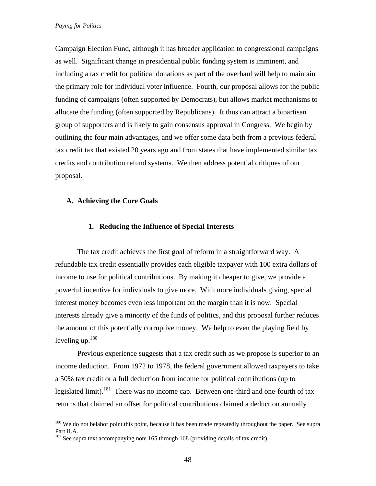Campaign Election Fund, although it has broader application to congressional campaigns as well. Significant change in presidential public funding system is imminent, and including a tax credit for political donations as part of the overhaul will help to maintain the primary role for individual voter influence. Fourth, our proposal allows for the public funding of campaigns (often supported by Democrats), but allows market mechanisms to allocate the funding (often supported by Republicans). It thus can attract a bipartisan group of supporters and is likely to gain consensus approval in Congress. We begin by outlining the four main advantages, and we offer some data both from a previous federal tax credit tax that existed 20 years ago and from states that have implemented similar tax credits and contribution refund systems. We then address potential critiques of our proposal.

# **A. Achieving the Core Goals**

 $\overline{a}$ 

# **1. Reducing the Influence of Special Interests**

The tax credit achieves the first goal of reform in a straightforward way. A refundable tax credit essentially provides each eligible taxpayer with 100 extra dollars of income to use for political contributions. By making it cheaper to give, we provide a powerful incentive for individuals to give more. With more individuals giving, special interest money becomes even less important on the margin than it is now. Special interests already give a minority of the funds of politics, and this proposal further reduces the amount of this potentially corruptive money. We help to even the playing field by leveling up. $180$ 

Previous experience suggests that a tax credit such as we propose is superior to an income deduction. From 1972 to 1978, the federal government allowed taxpayers to take a 50% tax credit or a full deduction from income for political contributions (up to legislated limit).<sup>181</sup> There was no income cap. Between one-third and one-fourth of tax returns that claimed an offset for political contributions claimed a deduction annually

<sup>&</sup>lt;sup>180</sup> We do not belabor point this point, because it has been made repeatedly throughout the paper. See supra Part II.A.

<sup>&</sup>lt;sup>181</sup> See supra text accompanying note 165 through 168 (providing details of tax credit).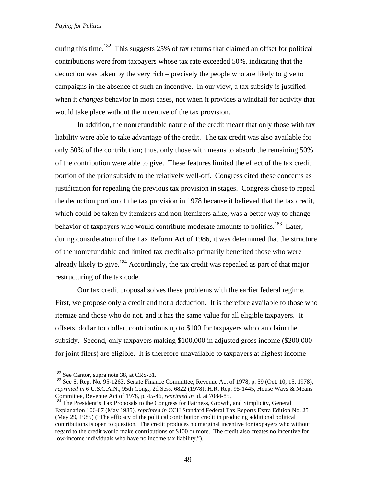during this time.<sup>182</sup> This suggests 25% of tax returns that claimed an offset for political contributions were from taxpayers whose tax rate exceeded 50%, indicating that the deduction was taken by the very rich – precisely the people who are likely to give to campaigns in the absence of such an incentive. In our view, a tax subsidy is justified when it *changes* behavior in most cases, not when it provides a windfall for activity that would take place without the incentive of the tax provision.

In addition, the nonrefundable nature of the credit meant that only those with tax liability were able to take advantage of the credit. The tax credit was also available for only 50% of the contribution; thus, only those with means to absorb the remaining 50% of the contribution were able to give. These features limited the effect of the tax credit portion of the prior subsidy to the relatively well-off. Congress cited these concerns as justification for repealing the previous tax provision in stages. Congress chose to repeal the deduction portion of the tax provision in 1978 because it believed that the tax credit, which could be taken by itemizers and non-itemizers alike, was a better way to change behavior of taxpayers who would contribute moderate amounts to politics.<sup>183</sup> Later, during consideration of the Tax Reform Act of 1986, it was determined that the structure of the nonrefundable and limited tax credit also primarily benefited those who were already likely to give.<sup>184</sup> Accordingly, the tax credit was repealed as part of that major restructuring of the tax code.

Our tax credit proposal solves these problems with the earlier federal regime. First, we propose only a credit and not a deduction. It is therefore available to those who itemize and those who do not, and it has the same value for all eligible taxpayers. It offsets, dollar for dollar, contributions up to \$100 for taxpayers who can claim the subsidy. Second, only taxpayers making \$100,000 in adjusted gross income (\$200,000 for joint filers) are eligible. It is therefore unavailable to taxpayers at highest income

<sup>&</sup>lt;sup>182</sup> See Cantor, supra note 38, at CRS-31.<br><sup>183</sup> See S. Rep. No. 95-1263, Senate Finance Committee, Revenue Act of 1978, p. 59 (Oct. 10, 15, 1978), *reprinted in* 6 U.S.C.A.N., 95th Cong., 2d Sess. 6822 (1978); H.R. Rep. 95-1445, House Ways & Means Committee, Revenue Act of 1978, p. 45-46, *reprinted in* id. at 7084-85.<br><sup>184</sup> The President's Tax Proposals to the Congress for Fairness, Growth, and Simplicity, General

Explanation 106-07 (May 1985), *reprinted in* CCH Standard Federal Tax Reports Extra Edition No. 25 (May 29, 1985) ("The efficacy of the political contribution credit in producing additional political contributions is open to question. The credit produces no marginal incentive for taxpayers who without regard to the credit would make contributions of \$100 or more. The credit also creates no incentive for low-income individuals who have no income tax liability.").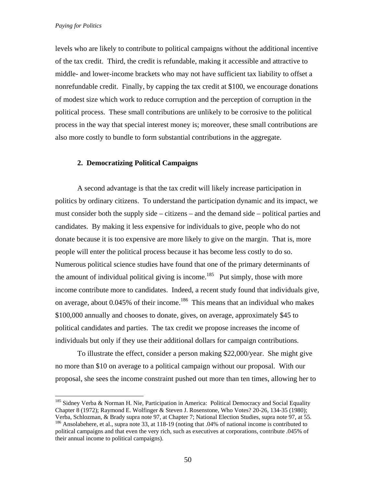$\overline{a}$ 

levels who are likely to contribute to political campaigns without the additional incentive of the tax credit. Third, the credit is refundable, making it accessible and attractive to middle- and lower-income brackets who may not have sufficient tax liability to offset a nonrefundable credit. Finally, by capping the tax credit at \$100, we encourage donations of modest size which work to reduce corruption and the perception of corruption in the political process. These small contributions are unlikely to be corrosive to the political process in the way that special interest money is; moreover, these small contributions are also more costly to bundle to form substantial contributions in the aggregate.

# **2. Democratizing Political Campaigns**

A second advantage is that the tax credit will likely increase participation in politics by ordinary citizens. To understand the participation dynamic and its impact, we must consider both the supply side – citizens – and the demand side – political parties and candidates. By making it less expensive for individuals to give, people who do not donate because it is too expensive are more likely to give on the margin. That is, more people will enter the political process because it has become less costly to do so. Numerous political science studies have found that one of the primary determinants of the amount of individual political giving is income.<sup>185</sup> Put simply, those with more income contribute more to candidates. Indeed, a recent study found that individuals give, on average, about 0.045% of their income.<sup>186</sup> This means that an individual who makes \$100,000 annually and chooses to donate, gives, on average, approximately \$45 to political candidates and parties. The tax credit we propose increases the income of individuals but only if they use their additional dollars for campaign contributions.

To illustrate the effect, consider a person making \$22,000/year. She might give no more than \$10 on average to a political campaign without our proposal. With our proposal, she sees the income constraint pushed out more than ten times, allowing her to

<sup>&</sup>lt;sup>185</sup> Sidney Verba & Norman H. Nie, Participation in America: Political Democracy and Social Equality Chapter 8 (1972); Raymond E. Wolfinger & Steven J. Rosenstone, Who Votes? 20-26, 134-35 (1980);

Verba, Schlozman, & Brady supra note 97, at Chapter 7; National Election Studies, supra note 97, at 55. 186 Ansolabehere, et al., supra note 33, at 118-19 (noting that .04% of national income is contributed to political campaigns and that even the very rich, such as executives at corporations, contribute .045% of their annual income to political campaigns).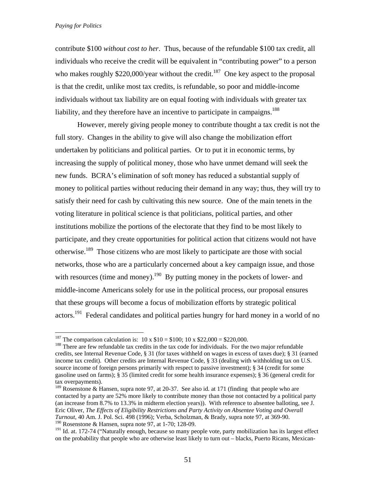contribute \$100 *without cost to her*. Thus, because of the refundable \$100 tax credit, all individuals who receive the credit will be equivalent in "contributing power" to a person who makes roughly  $$220,000$ /year without the credit.<sup>187</sup> One key aspect to the proposal is that the credit, unlike most tax credits, is refundable, so poor and middle-income individuals without tax liability are on equal footing with individuals with greater tax liability, and they therefore have an incentive to participate in campaigns.<sup>188</sup>

However, merely giving people money to contribute thought a tax credit is not the full story. Changes in the ability to give will also change the mobilization effort undertaken by politicians and political parties. Or to put it in economic terms, by increasing the supply of political money, those who have unmet demand will seek the new funds. BCRA's elimination of soft money has reduced a substantial supply of money to political parties without reducing their demand in any way; thus, they will try to satisfy their need for cash by cultivating this new source. One of the main tenets in the voting literature in political science is that politicians, political parties, and other institutions mobilize the portions of the electorate that they find to be most likely to participate, and they create opportunities for political action that citizens would not have otherwise.<sup>189</sup> Those citizens who are most likely to participate are those with social networks, those who are a particularly concerned about a key campaign issue, and those with resources (time and money).<sup>190</sup> By putting money in the pockets of lower- and middle-income Americans solely for use in the political process, our proposal ensures that these groups will become a focus of mobilization efforts by strategic political actors.<sup>191</sup> Federal candidates and political parties hungry for hard money in a world of no

<sup>&</sup>lt;sup>187</sup> The comparison calculation is:  $10 \times $10 = $100$ ;  $10 \times $22,000 = $220,000$ .

<sup>&</sup>lt;sup>188</sup> There are few refundable tax credits in the tax code for individuals. For the two major refundable credits, see Internal Revenue Code, § 31 (for taxes withheld on wages in excess of taxes due); § 31 (earned income tax credit). Other credits are Internal Revenue Code, § 33 (dealing with withholding tax on U.S. source income of foreign persons primarily with respect to passive investment); § 34 (credit for some gasoline used on farms); § 35 (limited credit for some health insurance expenses); § 36 (general credit for tax overpayments).

<sup>&</sup>lt;sup>189</sup> Rosenstone & Hansen, supra note 97, at 20-37. See also id. at 171 (finding that people who are contacted by a party are 52% more likely to contribute money than those not contacted by a political party (an increase from 8.7% to 13.3% in midterm election years)). With reference to absentee balloting, see J. Eric Oliver, *The Effects of Eligibility Restrictions and Party Activity on Absentee Voting and Overall Turnout*, 40 Am. J. Pol. Sci. 498 (1996); Verba, Scholzman, & Brady, supra note 97, at 369-90. <sup>190</sup> Rosenstone & Hansen, supra note 97, at 1-70; 128-09.

<sup>&</sup>lt;sup>191</sup> Id. at. 172-74 ("Naturally enough, because so many people vote, party mobilization has its largest effect on the probability that people who are otherwise least likely to turn out – blacks, Puerto Ricans, Mexican-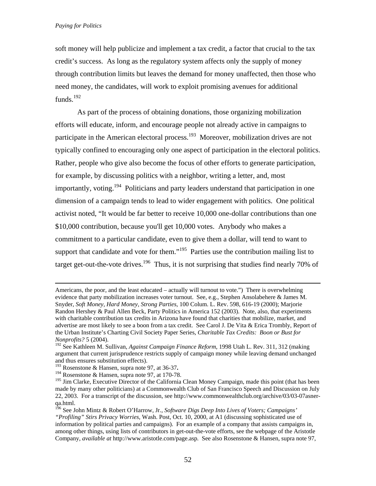soft money will help publicize and implement a tax credit, a factor that crucial to the tax credit's success. As long as the regulatory system affects only the supply of money through contribution limits but leaves the demand for money unaffected, then those who need money, the candidates, will work to exploit promising avenues for additional funds.<sup>192</sup>

As part of the process of obtaining donations, those organizing mobilization efforts will educate, inform, and encourage people not already active in campaigns to participate in the American electoral process.<sup>193</sup> Moreover, mobilization drives are not typically confined to encouraging only one aspect of participation in the electoral politics. Rather, people who give also become the focus of other efforts to generate participation, for example, by discussing politics with a neighbor, writing a letter, and, most importantly, voting.<sup>194</sup> Politicians and party leaders understand that participation in one dimension of a campaign tends to lead to wider engagement with politics. One political activist noted, "It would be far better to receive 10,000 one-dollar contributions than one \$10,000 contribution, because you'll get 10,000 votes. Anybody who makes a commitment to a particular candidate, even to give them a dollar, will tend to want to support that candidate and vote for them."<sup>195</sup> Parties use the contribution mailing list to target get-out-the-vote drives.<sup>196</sup> Thus, it is not surprising that studies find nearly 70% of

Americans, the poor, and the least educated – actually will turnout to vote.") There is overwhelming evidence that party mobilization increases voter turnout. See, e.g., Stephen Ansolabehere & James M. Snyder, *Soft Money, Hard Money, Strong Parties*, 100 Colum. L. Rev. 598, 616-19 (2000); Marjorie Randon Hershey & Paul Allen Beck, Party Politics in America 152 (2003). Note, also, that experiments with charitable contribution tax credits in Arizona have found that charities that mobilize, market, and advertise are most likely to see a boon from a tax credit. See Carol J. De Vita & Erica Trombly, Report of the Urban Institute's Charting Civil Society Paper Series, *Charitable Tax Credits: Boon or Bust for Nonprofits?* 5 (2004).

<sup>192</sup> See Kathleen M. Sullivan, *Against Campaign Finance Reform*, 1998 Utah L. Rev. 311, 312 (making argument that current jurisprudence restricts supply of campaign money while leaving demand unchanged and thus ensures substitution effects).<br> $^{193}$  Rosenstone & Hansen, supra note 97, at 36-37.

<sup>&</sup>lt;sup>194</sup> Rosenstone & Hansen, supra note 97, at 170-78.

<sup>&</sup>lt;sup>195</sup> Jim Clarke, Executive Director of the California Clean Money Campaign, made this point (that has been made by many other politicians) at a Commonwealth Club of San Francisco Speech and Discussion on July 22, 2003. For a transcript of the discussion, see http://www.commonwealthclub.org/archive/03/03-07asnerqa.html.

<sup>196</sup> See John Mintz & Robert O'Harrow, Jr., *Software Digs Deep Into Lives of Voters; Campaigns' "Profiling" Stirs Privacy Worries,* Wash. Post, Oct. 10, 2000, at A1 (discussing sophisticated use of information by political parties and campaigns). For an example of a company that assists campaigns in, among other things, using lists of contributors in get-out-the-vote efforts, see the webpage of the Aristotle Company, *available at* http://www.aristotle.com/page.asp*.* See also Rosenstone & Hansen, supra note 97,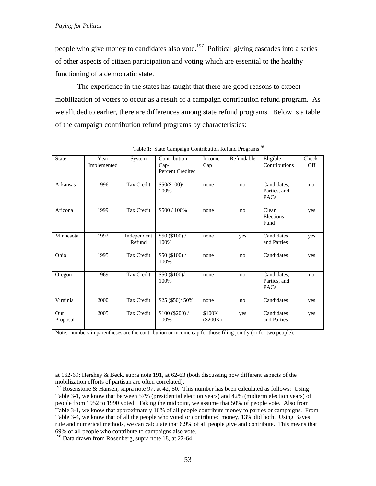people who give money to candidates also vote.<sup>197</sup> Political giving cascades into a series of other aspects of citizen participation and voting which are essential to the healthy functioning of a democratic state.

The experience in the states has taught that there are good reasons to expect mobilization of voters to occur as a result of a campaign contribution refund program. As we alluded to earlier, there are differences among state refund programs. Below is a table of the campaign contribution refund programs by characteristics:

| <b>State</b>    | Year<br>Implemented | System                | Contribution<br>Cap/<br><b>Percent Credited</b> | Income<br>Cap        | Refundable | Eligible<br>Contributions                  | Check-<br><b>Off</b> |
|-----------------|---------------------|-----------------------|-------------------------------------------------|----------------------|------------|--------------------------------------------|----------------------|
| Arkansas        | 1996                | Tax Credit            | \$50(\$100)/<br>100%                            | none                 | no         | Candidates,<br>Parties, and<br><b>PACs</b> | no                   |
| Arizona         | 1999                | Tax Credit            | \$500 / 100%                                    | none                 | no         | Clean<br>Elections<br>Fund                 | yes                  |
| Minnesota       | 1992                | Independent<br>Refund | \$50(\$100) /<br>100%                           | none                 | yes        | Candidates<br>and Parties                  | yes                  |
| Ohio            | 1995                | Tax Credit            | \$50(\$100) /<br>100%                           | none                 | no         | Candidates                                 | yes                  |
| Oregon          | 1969                | Tax Credit            | \$50 (\$100)/<br>100%                           | none                 | no         | Candidates,<br>Parties, and<br><b>PACs</b> | no                   |
| Virginia        | 2000                | Tax Credit            | \$25 (\$50)/ 50%                                | none                 | no         | Candidates                                 | yes                  |
| Our<br>Proposal | 2005                | Tax Credit            | \$100 (\$200) /<br>100%                         | \$100K<br>$(\$200K)$ | yes        | Candidates<br>and Parties                  | yes                  |

|  |  |  |  |  | Table 1: State Campaign Contribution Refund Programs <sup>198</sup> |
|--|--|--|--|--|---------------------------------------------------------------------|
|--|--|--|--|--|---------------------------------------------------------------------|

Note: numbers in parentheses are the contribution or income cap for those filing jointly (or for two people).

<sup>198</sup> Data drawn from Rosenberg, supra note 18, at 22-64.

at 162-69; Hershey & Beck, supra note 191, at 62-63 (both discussing how different aspects of the mobilization efforts of partisan are often correlated).

<sup>&</sup>lt;sup>197</sup> Rosenstone & Hansen, supra note 97, at 42, 50. This number has been calculated as follows: Using Table 3-1, we know that between 57% (presidential election years) and 42% (midterm election years) of people from 1952 to 1990 voted. Taking the midpoint, we assume that 50% of people vote. Also from Table 3-1, we know that approximately 10% of all people contribute money to parties or campaigns. From Table 3-4, we know that of all the people who voted or contributed money, 13% did both. Using Bayes rule and numerical methods, we can calculate that 6.9% of all people give and contribute. This means that 69% of all people who contribute to campaigns also vote.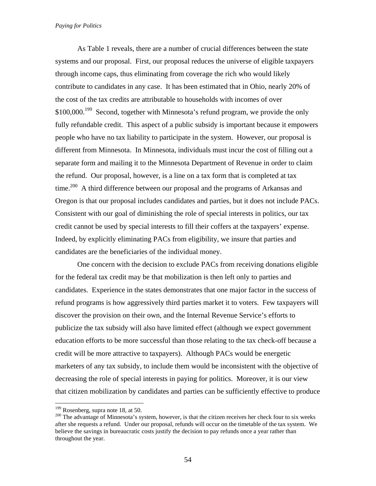As Table 1 reveals, there are a number of crucial differences between the state systems and our proposal. First, our proposal reduces the universe of eligible taxpayers through income caps, thus eliminating from coverage the rich who would likely contribute to candidates in any case. It has been estimated that in Ohio, nearly 20% of the cost of the tax credits are attributable to households with incomes of over \$100,000.<sup>199</sup> Second, together with Minnesota's refund program, we provide the only fully refundable credit. This aspect of a public subsidy is important because it empowers people who have no tax liability to participate in the system. However, our proposal is different from Minnesota. In Minnesota, individuals must incur the cost of filling out a separate form and mailing it to the Minnesota Department of Revenue in order to claim the refund. Our proposal, however, is a line on a tax form that is completed at tax time.<sup>200</sup> A third difference between our proposal and the programs of Arkansas and Oregon is that our proposal includes candidates and parties, but it does not include PACs. Consistent with our goal of diminishing the role of special interests in politics, our tax credit cannot be used by special interests to fill their coffers at the taxpayers' expense. Indeed, by explicitly eliminating PACs from eligibility, we insure that parties and candidates are the beneficiaries of the individual money.

One concern with the decision to exclude PACs from receiving donations eligible for the federal tax credit may be that mobilization is then left only to parties and candidates. Experience in the states demonstrates that one major factor in the success of refund programs is how aggressively third parties market it to voters. Few taxpayers will discover the provision on their own, and the Internal Revenue Service's efforts to publicize the tax subsidy will also have limited effect (although we expect government education efforts to be more successful than those relating to the tax check-off because a credit will be more attractive to taxpayers). Although PACs would be energetic marketers of any tax subsidy, to include them would be inconsistent with the objective of decreasing the role of special interests in paying for politics. Moreover, it is our view that citizen mobilization by candidates and parties can be sufficiently effective to produce

 $199$  Rosenberg, supra note 18, at 50.

<sup>&</sup>lt;sup>200</sup> The advantage of Minnesota's system, however, is that the citizen receives her check four to six weeks after she requests a refund. Under our proposal, refunds will occur on the timetable of the tax system. We believe the savings in bureaucratic costs justify the decision to pay refunds once a year rather than throughout the year.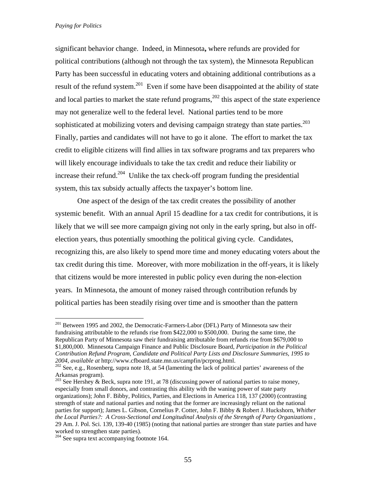significant behavior change.Indeed, in Minnesota**,** where refunds are provided for political contributions (although not through the tax system), the Minnesota Republican Party has been successful in educating voters and obtaining additional contributions as a result of the refund system.<sup>201</sup> Even if some have been disappointed at the ability of state and local parties to market the state refund programs,  $202$  this aspect of the state experience may not generalize well to the federal level. National parties tend to be more sophisticated at mobilizing voters and devising campaign strategy than state parties.<sup>203</sup> Finally, parties and candidates will not have to go it alone. The effort to market the tax credit to eligible citizens will find allies in tax software programs and tax preparers who will likely encourage individuals to take the tax credit and reduce their liability or increase their refund.<sup>204</sup> Unlike the tax check-off program funding the presidential system, this tax subsidy actually affects the taxpayer's bottom line.

One aspect of the design of the tax credit creates the possibility of another systemic benefit. With an annual April 15 deadline for a tax credit for contributions, it is likely that we will see more campaign giving not only in the early spring, but also in offelection years, thus potentially smoothing the political giving cycle. Candidates, recognizing this, are also likely to spend more time and money educating voters about the tax credit during this time. Moreover, with more mobilization in the off-years, it is likely that citizens would be more interested in public policy even during the non-election years. In Minnesota, the amount of money raised through contribution refunds by political parties has been steadily rising over time and is smoother than the pattern

<sup>&</sup>lt;sup>201</sup> Between 1995 and 2002, the Democratic-Farmers-Labor (DFL) Party of Minnesota saw their fundraising attributable to the refunds rise from \$422,000 to \$500,000. During the same time, the Republican Party of Minnesota saw their fundraising attributable from refunds rise from \$679,000 to \$1,800,000. Minnesota Campaign Finance and Public Disclosure Board, *Participation in the Political Contribution Refund Program, Candidate and Political Party Lists and Disclosure Summaries, 1995 to* 

<sup>&</sup>lt;sup>202</sup> See, e.g., Rosenberg, supra note 18, at 54 (lamenting the lack of political parties' awareness of the Arkansas program).

<sup>&</sup>lt;sup>203</sup> See Hershey & Beck, supra note 191, at 78 (discussing power of national parties to raise money, especially from small donors, and contrasting this ability with the waning power of state party organizations); John F. Bibby, Politics, Parties, and Elections in America 118, 137 (2000) (contrasting strength of state and national parties and noting that the former are increasingly reliant on the national parties for support); James L. Gibson, Cornelius P. Cotter, John F. Bibby & Robert J. Huckshorn, *Whither the Local Parties?: A Cross-Sectional and Longitudinal Analysis of the Strength of Party Organizations* , 29 Am. J. Pol. Sci. 139, 139-40 (1985) (noting that national parties are stronger than state parties and have worked to strengthen state parties).

<sup>&</sup>lt;sup>204</sup> See supra text accompanying footnote 164.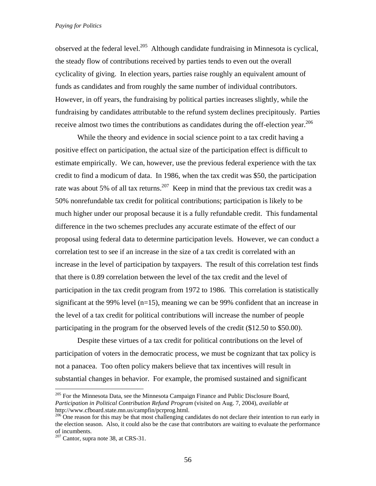observed at the federal level.<sup>205</sup> Although candidate fundraising in Minnesota is cyclical, the steady flow of contributions received by parties tends to even out the overall cyclicality of giving. In election years, parties raise roughly an equivalent amount of funds as candidates and from roughly the same number of individual contributors. However, in off years, the fundraising by political parties increases slightly, while the fundraising by candidates attributable to the refund system declines precipitously. Parties receive almost two times the contributions as candidates during the off-election year.<sup>206</sup>

While the theory and evidence in social science point to a tax credit having a positive effect on participation, the actual size of the participation effect is difficult to estimate empirically. We can, however, use the previous federal experience with the tax credit to find a modicum of data. In 1986, when the tax credit was \$50, the participation rate was about 5% of all tax returns.<sup>207</sup> Keep in mind that the previous tax credit was a 50% nonrefundable tax credit for political contributions; participation is likely to be much higher under our proposal because it is a fully refundable credit. This fundamental difference in the two schemes precludes any accurate estimate of the effect of our proposal using federal data to determine participation levels. However, we can conduct a correlation test to see if an increase in the size of a tax credit is correlated with an increase in the level of participation by taxpayers. The result of this correlation test finds that there is 0.89 correlation between the level of the tax credit and the level of participation in the tax credit program from 1972 to 1986. This correlation is statistically significant at the 99% level  $(n=15)$ , meaning we can be 99% confident that an increase in the level of a tax credit for political contributions will increase the number of people participating in the program for the observed levels of the credit (\$12.50 to \$50.00).

Despite these virtues of a tax credit for political contributions on the level of participation of voters in the democratic process, we must be cognizant that tax policy is not a panacea. Too often policy makers believe that tax incentives will result in substantial changes in behavior. For example, the promised sustained and significant

<sup>&</sup>lt;sup>205</sup> For the Minnesota Data, see the Minnesota Campaign Finance and Public Disclosure Board, *Participation in Political Contribution Refund Program* (visited on Aug. 7, 2004), *available at*

 $\frac{206}{30}$  One reason for this may be that most challenging candidates do not declare their intention to run early in the election season. Also, it could also be the case that contributors are waiting to evaluate the performance of incumbents.

 $207$  Cantor, supra note 38, at CRS-31.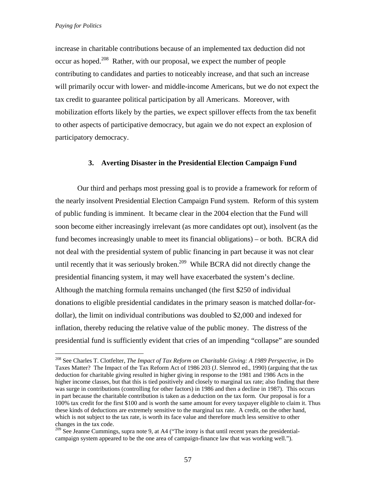$\overline{a}$ 

increase in charitable contributions because of an implemented tax deduction did not occur as hoped.<sup>208</sup> Rather, with our proposal, we expect the number of people contributing to candidates and parties to noticeably increase, and that such an increase will primarily occur with lower- and middle-income Americans, but we do not expect the tax credit to guarantee political participation by all Americans. Moreover, with mobilization efforts likely by the parties, we expect spillover effects from the tax benefit to other aspects of participative democracy, but again we do not expect an explosion of participatory democracy.

# **3. Averting Disaster in the Presidential Election Campaign Fund**

Our third and perhaps most pressing goal is to provide a framework for reform of the nearly insolvent Presidential Election Campaign Fund system. Reform of this system of public funding is imminent. It became clear in the 2004 election that the Fund will soon become either increasingly irrelevant (as more candidates opt out), insolvent (as the fund becomes increasingly unable to meet its financial obligations) – or both. BCRA did not deal with the presidential system of public financing in part because it was not clear until recently that it was seriously broken.<sup>209</sup> While BCRA did not directly change the presidential financing system, it may well have exacerbated the system's decline. Although the matching formula remains unchanged (the first \$250 of individual donations to eligible presidential candidates in the primary season is matched dollar-fordollar), the limit on individual contributions was doubled to \$2,000 and indexed for inflation, thereby reducing the relative value of the public money. The distress of the presidential fund is sufficiently evident that cries of an impending "collapse" are sounded

<sup>208</sup> See Charles T. Clotfelter, *The Impact of Tax Reform on Charitable Giving: A 1989 Perspective, in* Do Taxes Matter? The Impact of the Tax Reform Act of 1986 203 (J. Slemrod ed., 1990) (arguing that the tax deduction for charitable giving resulted in higher giving in response to the 1981 and 1986 Acts in the higher income classes, but that this is tied positively and closely to marginal tax rate; also finding that there was surge in contributions (controlling for other factors) in 1986 and then a decline in 1987). This occurs in part because the charitable contribution is taken as a deduction on the tax form. Our proposal is for a 100% tax credit for the first \$100 and is worth the same amount for every taxpayer eligible to claim it. Thus these kinds of deductions are extremely sensitive to the marginal tax rate. A credit, on the other hand, which is not subject to the tax rate, is worth its face value and therefore much less sensitive to other changes in the tax code.

<sup>&</sup>lt;sup>209</sup> See Jeanne Cummings, supra note 9, at A4 ("The irony is that until recent years the presidentialcampaign system appeared to be the one area of campaign-finance law that was working well.").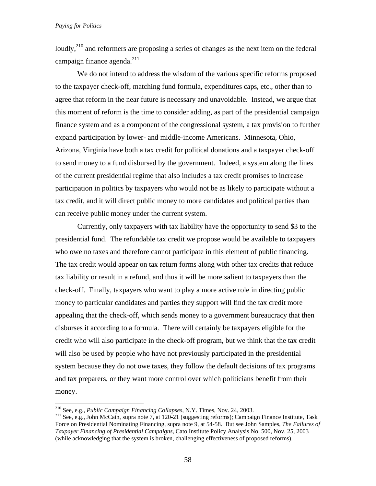loudly,<sup>210</sup> and reformers are proposing a series of changes as the next item on the federal campaign finance agenda. $^{211}$ 

 We do not intend to address the wisdom of the various specific reforms proposed to the taxpayer check-off, matching fund formula, expenditures caps, etc., other than to agree that reform in the near future is necessary and unavoidable. Instead, we argue that this moment of reform is the time to consider adding, as part of the presidential campaign finance system and as a component of the congressional system, a tax provision to further expand participation by lower- and middle-income Americans. Minnesota, Ohio, Arizona, Virginia have both a tax credit for political donations and a taxpayer check-off to send money to a fund disbursed by the government. Indeed, a system along the lines of the current presidential regime that also includes a tax credit promises to increase participation in politics by taxpayers who would not be as likely to participate without a tax credit, and it will direct public money to more candidates and political parties than can receive public money under the current system.

 Currently, only taxpayers with tax liability have the opportunity to send \$3 to the presidential fund. The refundable tax credit we propose would be available to taxpayers who owe no taxes and therefore cannot participate in this element of public financing. The tax credit would appear on tax return forms along with other tax credits that reduce tax liability or result in a refund, and thus it will be more salient to taxpayers than the check-off. Finally, taxpayers who want to play a more active role in directing public money to particular candidates and parties they support will find the tax credit more appealing that the check-off, which sends money to a government bureaucracy that then disburses it according to a formula. There will certainly be taxpayers eligible for the credit who will also participate in the check-off program, but we think that the tax credit will also be used by people who have not previously participated in the presidential system because they do not owe taxes, they follow the default decisions of tax programs and tax preparers, or they want more control over which politicians benefit from their money.

<sup>&</sup>lt;sup>210</sup> See, e.g., *Public Campaign Financing Collapses*, N.Y. Times, Nov. 24, 2003.

<sup>&</sup>lt;sup>211</sup> See, e.g., John McCain, supra note 7, at 120-21 (suggesting reforms); Campaign Finance Institute, Task Force on Presidential Nominating Financing, supra note 9, at 54-58. But see John Samples, *The Failures of Taxpayer Financing of Presidential Campaigns*, Cato Institute Policy Analysis No. 500, Nov. 25, 2003 (while acknowledging that the system is broken, challenging effectiveness of proposed reforms).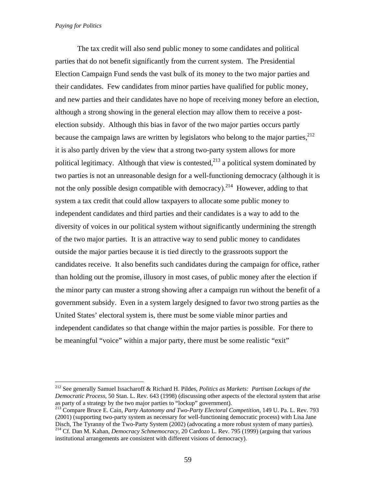$\overline{a}$ 

 The tax credit will also send public money to some candidates and political parties that do not benefit significantly from the current system. The Presidential Election Campaign Fund sends the vast bulk of its money to the two major parties and their candidates. Few candidates from minor parties have qualified for public money, and new parties and their candidates have no hope of receiving money before an election, although a strong showing in the general election may allow them to receive a postelection subsidy. Although this bias in favor of the two major parties occurs partly because the campaign laws are written by legislators who belong to the major parties. $^{212}$ it is also partly driven by the view that a strong two-party system allows for more political legitimacy. Although that view is contested,  $2^{13}$  a political system dominated by two parties is not an unreasonable design for a well-functioning democracy (although it is not the only possible design compatible with democracy).<sup>214</sup> However, adding to that system a tax credit that could allow taxpayers to allocate some public money to independent candidates and third parties and their candidates is a way to add to the diversity of voices in our political system without significantly undermining the strength of the two major parties. It is an attractive way to send public money to candidates outside the major parties because it is tied directly to the grassroots support the candidates receive. It also benefits such candidates during the campaign for office, rather than holding out the promise, illusory in most cases, of public money after the election if the minor party can muster a strong showing after a campaign run without the benefit of a government subsidy. Even in a system largely designed to favor two strong parties as the United States' electoral system is, there must be some viable minor parties and independent candidates so that change within the major parties is possible. For there to be meaningful "voice" within a major party, there must be some realistic "exit"

<sup>212</sup> See generally Samuel Issacharoff & Richard H. Pildes, *Politics as Markets: Partisan Lockups of the Democratic Process*, 50 Stan. L. Rev. 643 (1998) (discussing other aspects of the electoral system that arise as party of a strategy by the two major parties to "lockup" government).

<sup>213</sup> Compare Bruce E. Cain, *Party Autonomy and Two-Party Electoral Competition*, 149 U. Pa. L. Rev. 793 (2001) (supporting two-party system as necessary for well-functioning democratic process) with Lisa Jane Disch, The Tyranny of the Two-Party System (2002) (advocating a more robust system of many parties). 214 Cf. Dan M. Kahan, *Democracy Schmemocracy*, 20 Cardozo L. Rev. 795 (1999) (arguing that various institutional arrangements are consistent with different visions of democracy).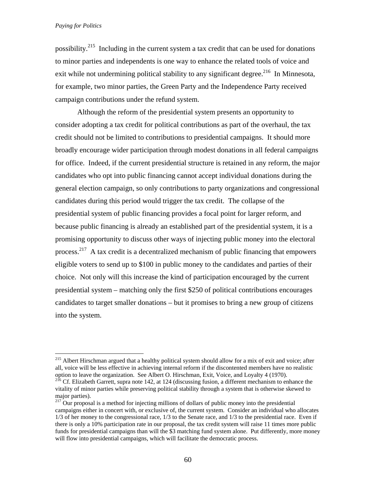$\overline{a}$ 

possibility.215 Including in the current system a tax credit that can be used for donations to minor parties and independents is one way to enhance the related tools of voice and exit while not undermining political stability to any significant degree.<sup>216</sup> In Minnesota, for example, two minor parties, the Green Party and the Independence Party received campaign contributions under the refund system.

 Although the reform of the presidential system presents an opportunity to consider adopting a tax credit for political contributions as part of the overhaul, the tax credit should not be limited to contributions to presidential campaigns. It should more broadly encourage wider participation through modest donations in all federal campaigns for office. Indeed, if the current presidential structure is retained in any reform, the major candidates who opt into public financing cannot accept individual donations during the general election campaign, so only contributions to party organizations and congressional candidates during this period would trigger the tax credit. The collapse of the presidential system of public financing provides a focal point for larger reform, and because public financing is already an established part of the presidential system, it is a promising opportunity to discuss other ways of injecting public money into the electoral process.<sup>217</sup> A tax credit is a decentralized mechanism of public financing that empowers eligible voters to send up to \$100 in public money to the candidates and parties of their choice. Not only will this increase the kind of participation encouraged by the current presidential system – matching only the first \$250 of political contributions encourages candidates to target smaller donations – but it promises to bring a new group of citizens into the system.

<sup>&</sup>lt;sup>215</sup> Albert Hirschman argued that a healthy political system should allow for a mix of exit and voice; after all, voice will be less effective in achieving internal reform if the discontented members have no realistic option to leave the organization. See Albert O. Hirschman, Exit, Voice, and Loyalty 4 (1970).

<sup>&</sup>lt;sup>216</sup> Cf. Elizabeth Garrett, supra note 142, at 124 (discussing fusion, a different mechanism to enhance the vitality of minor parties while preserving political stability through a system that is otherwise skewed to major parties).

 $217$  Our proposal is a method for injecting millions of dollars of public money into the presidential campaigns either in concert with, or exclusive of, the current system. Consider an individual who allocates 1/3 of her money to the congressional race, 1/3 to the Senate race, and 1/3 to the presidential race. Even if there is only a 10% participation rate in our proposal, the tax credit system will raise 11 times more public funds for presidential campaigns than will the \$3 matching fund system alone. Put differently, more money will flow into presidential campaigns, which will facilitate the democratic process.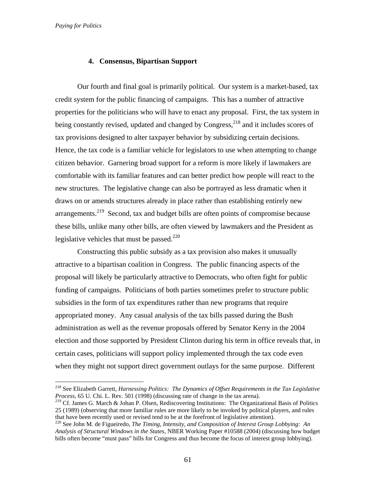$\overline{a}$ 

### **4. Consensus, Bipartisan Support**

Our fourth and final goal is primarily political. Our system is a market-based, tax credit system for the public financing of campaigns. This has a number of attractive properties for the politicians who will have to enact any proposal. First, the tax system in being constantly revised, updated and changed by Congress,  $^{218}$  and it includes scores of tax provisions designed to alter taxpayer behavior by subsidizing certain decisions. Hence, the tax code is a familiar vehicle for legislators to use when attempting to change citizen behavior. Garnering broad support for a reform is more likely if lawmakers are comfortable with its familiar features and can better predict how people will react to the new structures. The legislative change can also be portrayed as less dramatic when it draws on or amends structures already in place rather than establishing entirely new arrangements.<sup>219</sup> Second, tax and budget bills are often points of compromise because these bills, unlike many other bills, are often viewed by lawmakers and the President as legislative vehicles that must be passed. $220$ 

Constructing this public subsidy as a tax provision also makes it unusually attractive to a bipartisan coalition in Congress. The public financing aspects of the proposal will likely be particularly attractive to Democrats, who often fight for public funding of campaigns. Politicians of both parties sometimes prefer to structure public subsidies in the form of tax expenditures rather than new programs that require appropriated money. Any casual analysis of the tax bills passed during the Bush administration as well as the revenue proposals offered by Senator Kerry in the 2004 election and those supported by President Clinton during his term in office reveals that, in certain cases, politicians will support policy implemented through the tax code even when they might not support direct government outlays for the same purpose. Different

<sup>218</sup> See Elizabeth Garrett, *Harnessing Politics: The Dynamics of Offset Requirements in the Tax Legislative Process*, 65 U. Chi. L. Rev. 501 (1998) (discussing rate of change in the tax arena).

<sup>&</sup>lt;sup>219</sup> Cf. James G. March & Johan P. Olsen, Rediscovering Institutions: The Organizational Basis of Politics 25 (1989) (observing that more familiar rules are more likely to be invoked by political players, and rules that have been recently used or revised tend to be at the forefront of legislative attention). 220 See John M. de Figueiredo, *The Timing, Intensity, and Composition of Interest Group Lobbying: An* 

*Analysis of Structural Windows in the States*, NBER Working Paper #10588 (2004) (discussing how budget bills often become "must pass" bills for Congress and thus become the focus of interest group lobbying).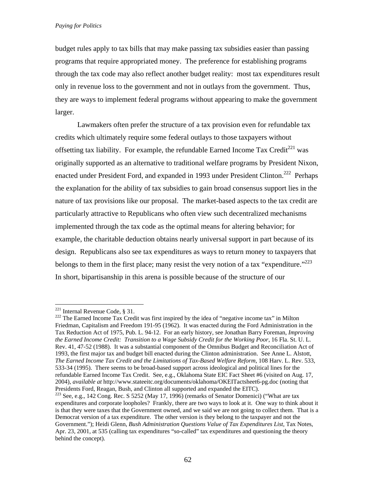budget rules apply to tax bills that may make passing tax subsidies easier than passing programs that require appropriated money. The preference for establishing programs through the tax code may also reflect another budget reality: most tax expenditures result only in revenue loss to the government and not in outlays from the government. Thus, they are ways to implement federal programs without appearing to make the government larger.

Lawmakers often prefer the structure of a tax provision even for refundable tax credits which ultimately require some federal outlays to those taxpayers without offsetting tax liability. For example, the refundable Earned Income Tax Credit<sup>221</sup> was originally supported as an alternative to traditional welfare programs by President Nixon, enacted under President Ford, and expanded in 1993 under President Clinton.<sup>222</sup> Perhaps the explanation for the ability of tax subsidies to gain broad consensus support lies in the nature of tax provisions like our proposal. The market-based aspects to the tax credit are particularly attractive to Republicans who often view such decentralized mechanisms implemented through the tax code as the optimal means for altering behavior; for example, the charitable deduction obtains nearly universal support in part because of its design. Republicans also see tax expenditures as ways to return money to taxpayers that belongs to them in the first place; many resist the very notion of a tax "expenditure."<sup> $223$ </sup> In short, bipartisanship in this arena is possible because of the structure of our

 $^{221}$  Internal Revenue Code, § 31.

 $222$  The Earned Income Tax Credit was first inspired by the idea of "negative income tax" in Milton Friedman, Capitalism and Freedom 191-95 (1962). It was enacted during the Ford Administration in the Tax Reduction Act of 1975, Pub. L. 94-12. For an early history, see Jonathan Barry Foreman, *Improving the Earned Income Credit: Transition to a Wage Subsidy Credit for the Working Poor*, 16 Fla. St. U. L. Rev. 41, 47-52 (1988). It was a substantial component of the Omnibus Budget and Reconciliation Act of 1993, the first major tax and budget bill enacted during the Clinton administration. See Anne L. Alstott, *The Earned Income Tax Credit and the Limitations of Tax-Based Welfare Reform*, 108 Harv. L. Rev. 533, 533-34 (1995). There seems to be broad-based support across ideological and political lines for the refundable Earned Income Tax Credit. See, e.g., Oklahoma State EIC Fact Sheet #6 (visited on Aug. 17, 2004), *available at* http://www.stateeitc.org/documents/oklahoma/OKEITactsheet6-pg.doc (noting that Presidents Ford, Reagan, Bush, and Clinton all supported and expanded the EITC).

<sup>&</sup>lt;sup>223</sup> See, e.g., 142 Cong. Rec. S 5252 (May 17, 1996) (remarks of Senator Domenici) ("What are tax expenditures and corporate loopholes? Frankly, there are two ways to look at it. One way to think about it is that they were taxes that the Government owned, and we said we are not going to collect them. That is a Democrat version of a tax expenditure. The other version is they belong to the taxpayer and not the Government."); Heidi Glenn, *Bush Administration Questions Value of Tax Expenditures List*, Tax Notes, Apr. 23, 2001, at 535 (calling tax expenditures "so-called" tax expenditures and questioning the theory behind the concept).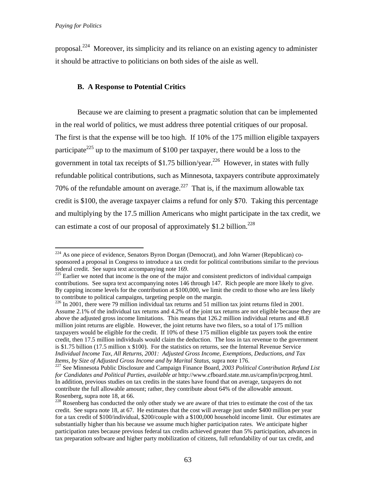1

proposal.224 Moreover, its simplicity and its reliance on an existing agency to administer it should be attractive to politicians on both sides of the aisle as well.

# **B. A Response to Potential Critics**

 Because we are claiming to present a pragmatic solution that can be implemented in the real world of politics, we must address three potential critiques of our proposal. The first is that the expense will be too high. If 10% of the 175 million eligible taxpayers participate<sup>225</sup> up to the maximum of \$100 per taxpayer, there would be a loss to the government in total tax receipts of \$1.75 billion/year.<sup>226</sup> However, in states with fully refundable political contributions, such as Minnesota, taxpayers contribute approximately 70% of the refundable amount on average.<sup>227</sup> That is, if the maximum allowable tax credit is \$100, the average taxpayer claims a refund for only \$70. Taking this percentage and multiplying by the 17.5 million Americans who might participate in the tax credit, we can estimate a cost of our proposal of approximately  $$1.2$  billion.<sup>228</sup>

 $224$  As one piece of evidence, Senators Byron Dorgan (Democrat), and John Warner (Republican) cosponsored a proposal in Congress to introduce a tax credit for political contributions similar to the previous federal credit. See supra text accompanying note 169.

Federal credit. See supple text accompanying note 169. The major and consistent predictors of individual campaign contributions. See supra text accompanying notes 146 through 147. Rich people are more likely to give. By capping income levels for the contribution at \$100,000, we limit the credit to those who are less likely to contribute to political campaigns, targeting people on the margin.

 $^{226}$  In 2001, there were 79 million individual tax returns and 51 million tax joint returns filed in 2001. Assume 2.1% of the individual tax returns and 4.2% of the joint tax returns are not eligible because they are above the adjusted gross income limitations. This means that 126.2 million individual returns and 48.8 million joint returns are eligible. However, the joint returns have two filers, so a total of 175 million taxpayers would be eligible for the credit. If 10% of these 175 million eligible tax payers took the entire credit, then 17.5 million individuals would claim the deduction. The loss in tax revenue to the government is \$1.75 billion (17.5 million x \$100). For the statistics on returns, see the Internal Revenue Service *Individual Income Tax, All Returns, 2001: Adjusted Gross Income, Exemptions, Deductions, and Tax Items, by Size of Adjusted Gross Income and by Marital Status, supra note 176.*<br><sup>227</sup> See Minnesota Public Disclosure and Campaign Finance Board, *2003 Political Contribution Refund List* 

*for Candidates and Political Parties*, *available at* http://www.cfboard.state.mn.us/campfin/pcrprog.html. In addition, previous studies on tax credits in the states have found that on average, taxpayers do not contribute the full allowable amount; rather, they contribute about 64% of the allowable amount. Rosenberg, supra note 18, at 66.

<sup>&</sup>lt;sup>228</sup> Rosenberg has conducted the only other study we are aware of that tries to estimate the cost of the tax credit. See supra note 18, at 67. He estimates that the cost will average just under \$400 million per year for a tax credit of \$100/individual, \$200/couple with a \$100,000 household income limit. Our estimates are substantially higher than his because we assume much higher participation rates. We anticipate higher participation rates because previous federal tax credits achieved greater than 5% participation, advances in tax preparation software and higher party mobilization of citizens, full refundability of our tax credit, and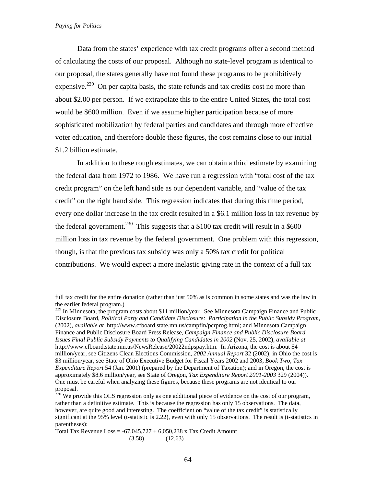Data from the states' experience with tax credit programs offer a second method of calculating the costs of our proposal. Although no state-level program is identical to our proposal, the states generally have not found these programs to be prohibitively expensive.<sup>229</sup> On per capita basis, the state refunds and tax credits cost no more than about \$2.00 per person. If we extrapolate this to the entire United States, the total cost would be \$600 million. Even if we assume higher participation because of more sophisticated mobilization by federal parties and candidates and through more effective voter education, and therefore double these figures, the cost remains close to our initial \$1.2 billion estimate.

In addition to these rough estimates, we can obtain a third estimate by examining the federal data from 1972 to 1986. We have run a regression with "total cost of the tax credit program" on the left hand side as our dependent variable, and "value of the tax credit" on the right hand side. This regression indicates that during this time period, every one dollar increase in the tax credit resulted in a \$6.1 million loss in tax revenue by the federal government.<sup>230</sup> This suggests that a \$100 tax credit will result in a \$600 million loss in tax revenue by the federal government. One problem with this regression, though, is that the previous tax subsidy was only a 50% tax credit for political contributions. We would expect a more inelastic giving rate in the context of a full tax

full tax credit for the entire donation (rather than just 50% as is common in some states and was the law in the earlier federal program.)

<sup>&</sup>lt;sup>229</sup> In Minnesota, the program costs about \$11 million/year. See Minnesota Campaign Finance and Public Disclosure Board, *Political Party and Candidate Disclosure: Participation in the Public Subsidy Program,* (2002), *available at* http://www.cfboard.state.mn.us/campfin/pcrprog.html; and Minnesota Campaign Finance and Public Disclosure Board Press Release, *Campaign Finance and Public Disclosure Board Issues Final Public Subsidy Payments to Qualifying Candidates in 2002* (Nov. 25, 2002), *available at* http://www.cfboard.state.mn.us/NewsRelease/20022ndpspay.htm. In Arizona, the cost is about \$4 million/year, see Citizens Clean Elections Commission, *2002 Annual Report* 32 (2002); in Ohio the cost is \$3 million/year, see State of Ohio Executive Budget for Fiscal Years 2002 and 2003, *Book Two, Tax Expenditure Report* 54 (Jan. 2001) (prepared by the Department of Taxation); and in Oregon, the cost is approximately \$8.6 million/year, see State of Oregon, *Tax Expenditure Report 2001-2003* 329 (2004)). One must be careful when analyzing these figures, because these programs are not identical to our proposal.

 $^{230}$  We provide this OLS regression only as one additional piece of evidence on the cost of our program, rather than a definitive estimate. This is because the regression has only 15 observations. The data, however, are quite good and interesting. The coefficient on "value of the tax credit" is statistically significant at the 95% level (t-statistic is 2.22), even with only 15 observations. The result is (t-statistics in parentheses):

Total Tax Revenue  $Loss = -67,045,727 + 6,050,238$  x Tax Credit Amount  $(3.58)$   $(12.63)$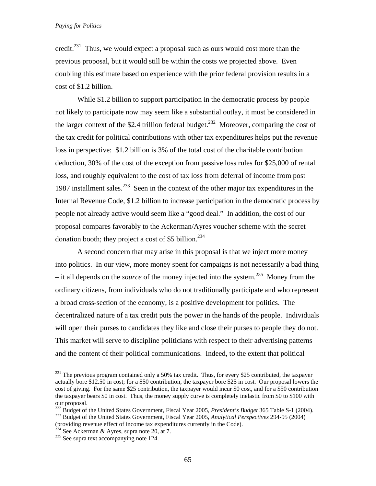credit.<sup>231</sup> Thus, we would expect a proposal such as ours would cost more than the previous proposal, but it would still be within the costs we projected above. Even doubling this estimate based on experience with the prior federal provision results in a cost of \$1.2 billion.

 While \$1.2 billion to support participation in the democratic process by people not likely to participate now may seem like a substantial outlay, it must be considered in the larger context of the \$2.4 trillion federal budget.<sup>232</sup> Moreover, comparing the cost of the tax credit for political contributions with other tax expenditures helps put the revenue loss in perspective: \$1.2 billion is 3% of the total cost of the charitable contribution deduction, 30% of the cost of the exception from passive loss rules for \$25,000 of rental loss, and roughly equivalent to the cost of tax loss from deferral of income from post 1987 installment sales.<sup>233</sup> Seen in the context of the other major tax expenditures in the Internal Revenue Code, \$1.2 billion to increase participation in the democratic process by people not already active would seem like a "good deal." In addition, the cost of our proposal compares favorably to the Ackerman/Ayres voucher scheme with the secret donation booth; they project a cost of \$5 billion. $^{234}$ 

 A second concern that may arise in this proposal is that we inject more money into politics. In our view, more money spent for campaigns is not necessarily a bad thing  $-$  it all depends on the *source* of the money injected into the system.<sup>235</sup> Money from the ordinary citizens, from individuals who do not traditionally participate and who represent a broad cross-section of the economy, is a positive development for politics. The decentralized nature of a tax credit puts the power in the hands of the people. Individuals will open their purses to candidates they like and close their purses to people they do not. This market will serve to discipline politicians with respect to their advertising patterns and the content of their political communications. Indeed, to the extent that political

<sup>&</sup>lt;sup>231</sup> The previous program contained only a 50% tax credit. Thus, for every \$25 contributed, the taxpayer actually bore \$12.50 in cost; for a \$50 contribution, the taxpayer bore \$25 in cost. Our proposal lowers the cost of giving. For the same \$25 contribution, the taxpayer would incur \$0 cost, and for a \$50 contribution the taxpayer bears \$0 in cost. Thus, the money supply curve is completely inelastic from \$0 to \$100 with our proposal.

<sup>232</sup> Budget of the United States Government, Fiscal Year 2005, *President's Budget* 365 Table S-1 (2004). 233 Budget of the United States Government, Fiscal Year 2005, *Analytical Perspectives* 294-95 (2004)

<sup>(</sup>providing revenue effect of income tax expenditures currently in the Code).

<sup>&</sup>lt;sup>234</sup> See Ackerman & Ayres, supra note 20, at 7.<br><sup>235</sup> See supra text accompanying note 124.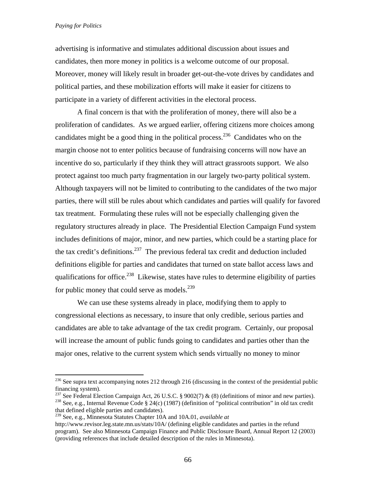$\overline{a}$ 

advertising is informative and stimulates additional discussion about issues and candidates, then more money in politics is a welcome outcome of our proposal. Moreover, money will likely result in broader get-out-the-vote drives by candidates and political parties, and these mobilization efforts will make it easier for citizens to participate in a variety of different activities in the electoral process.

 A final concern is that with the proliferation of money, there will also be a proliferation of candidates. As we argued earlier, offering citizens more choices among candidates might be a good thing in the political process.<sup>236</sup> Candidates who on the margin choose not to enter politics because of fundraising concerns will now have an incentive do so, particularly if they think they will attract grassroots support. We also protect against too much party fragmentation in our largely two-party political system. Although taxpayers will not be limited to contributing to the candidates of the two major parties, there will still be rules about which candidates and parties will qualify for favored tax treatment. Formulating these rules will not be especially challenging given the regulatory structures already in place. The Presidential Election Campaign Fund system includes definitions of major, minor, and new parties, which could be a starting place for the tax credit's definitions.<sup>237</sup> The previous federal tax credit and deduction included definitions eligible for parties and candidates that turned on state ballot access laws and qualifications for office.<sup>238</sup> Likewise, states have rules to determine eligibility of parties for public money that could serve as models.<sup>239</sup>

We can use these systems already in place, modifying them to apply to congressional elections as necessary, to insure that only credible, serious parties and candidates are able to take advantage of the tax credit program. Certainly, our proposal will increase the amount of public funds going to candidates and parties other than the major ones, relative to the current system which sends virtually no money to minor

 $^{236}$  See supra text accompanying notes 212 through 216 (discussing in the context of the presidential public financing system).<br><sup>237</sup> See Federal Election Campaign Act, 26 U.S.C. § 9002(7) & (8) (definitions of minor and new parties).

<sup>&</sup>lt;sup>238</sup> See, e.g., Internal Revenue Code § 24(c) (1987) (definition of "political contribution" in old tax credit that defined eligible parties and candidates).

<sup>239</sup> See, e.g., Minnesota Statutes Chapter 10A and 10A.01, *available at* 

http://www.revisor.leg.state.mn.us/stats/10A/ (defining eligible candidates and parties in the refund program). See also Minnesota Campaign Finance and Public Disclosure Board, Annual Report 12 (2003) (providing references that include detailed description of the rules in Minnesota).